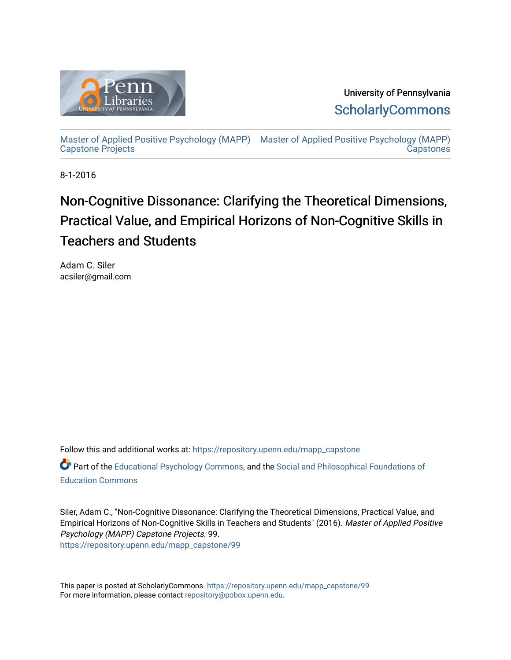

University of Pennsylvania **ScholarlyCommons** 

[Master of Applied Positive Psychology \(MAPP\)](https://repository.upenn.edu/mapp_capstone) [Master of Applied Positive Psychology \(MAPP\)](https://repository.upenn.edu/mapp_capstones)  [Capstone Projects](https://repository.upenn.edu/mapp_capstone)  **Capstones** 

8-1-2016

# Non-Cognitive Dissonance: Clarifying the Theoretical Dimensions, Practical Value, and Empirical Horizons of Non-Cognitive Skills in Teachers and Students

Adam C. Siler acsiler@gmail.com

Follow this and additional works at: [https://repository.upenn.edu/mapp\\_capstone](https://repository.upenn.edu/mapp_capstone?utm_source=repository.upenn.edu%2Fmapp_capstone%2F99&utm_medium=PDF&utm_campaign=PDFCoverPages)  Part of the [Educational Psychology Commons,](http://network.bepress.com/hgg/discipline/798?utm_source=repository.upenn.edu%2Fmapp_capstone%2F99&utm_medium=PDF&utm_campaign=PDFCoverPages) and the Social and Philosophical Foundations of [Education Commons](http://network.bepress.com/hgg/discipline/799?utm_source=repository.upenn.edu%2Fmapp_capstone%2F99&utm_medium=PDF&utm_campaign=PDFCoverPages) 

Siler, Adam C., "Non-Cognitive Dissonance: Clarifying the Theoretical Dimensions, Practical Value, and Empirical Horizons of Non-Cognitive Skills in Teachers and Students" (2016). Master of Applied Positive Psychology (MAPP) Capstone Projects. 99. [https://repository.upenn.edu/mapp\\_capstone/99](https://repository.upenn.edu/mapp_capstone/99?utm_source=repository.upenn.edu%2Fmapp_capstone%2F99&utm_medium=PDF&utm_campaign=PDFCoverPages)

This paper is posted at ScholarlyCommons. [https://repository.upenn.edu/mapp\\_capstone/99](https://repository.upenn.edu/mapp_capstone/99)  For more information, please contact [repository@pobox.upenn.edu.](mailto:repository@pobox.upenn.edu)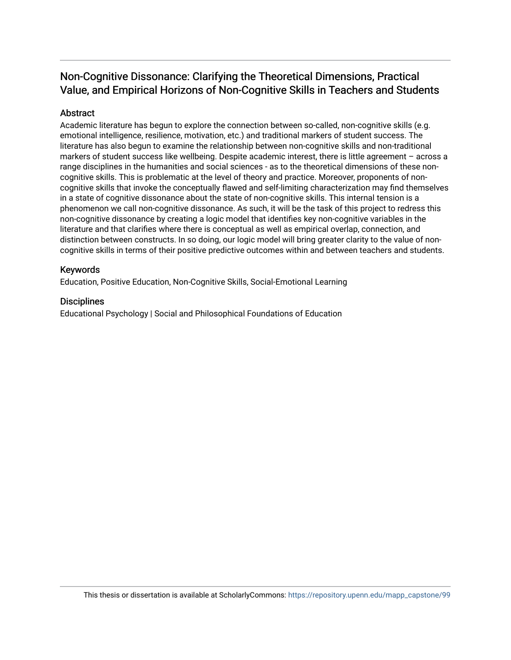### Non-Cognitive Dissonance: Clarifying the Theoretical Dimensions, Practical Value, and Empirical Horizons of Non-Cognitive Skills in Teachers and Students

#### Abstract

Academic literature has begun to explore the connection between so-called, non-cognitive skills (e.g. emotional intelligence, resilience, motivation, etc.) and traditional markers of student success. The literature has also begun to examine the relationship between non-cognitive skills and non-traditional markers of student success like wellbeing. Despite academic interest, there is little agreement – across a range disciplines in the humanities and social sciences - as to the theoretical dimensions of these noncognitive skills. This is problematic at the level of theory and practice. Moreover, proponents of noncognitive skills that invoke the conceptually flawed and self-limiting characterization may find themselves in a state of cognitive dissonance about the state of non-cognitive skills. This internal tension is a phenomenon we call non-cognitive dissonance. As such, it will be the task of this project to redress this non-cognitive dissonance by creating a logic model that identifies key non-cognitive variables in the literature and that clarifies where there is conceptual as well as empirical overlap, connection, and distinction between constructs. In so doing, our logic model will bring greater clarity to the value of noncognitive skills in terms of their positive predictive outcomes within and between teachers and students.

#### Keywords

Education, Positive Education, Non-Cognitive Skills, Social-Emotional Learning

#### **Disciplines**

Educational Psychology | Social and Philosophical Foundations of Education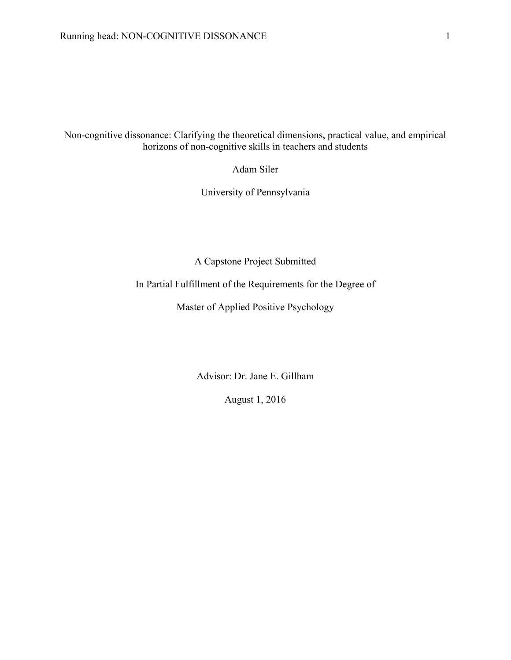Non-cognitive dissonance: Clarifying the theoretical dimensions, practical value, and empirical horizons of non-cognitive skills in teachers and students

Adam Siler

University of Pennsylvania

A Capstone Project Submitted

In Partial Fulfillment of the Requirements for the Degree of

Master of Applied Positive Psychology

Advisor: Dr. Jane E. Gillham

August 1, 2016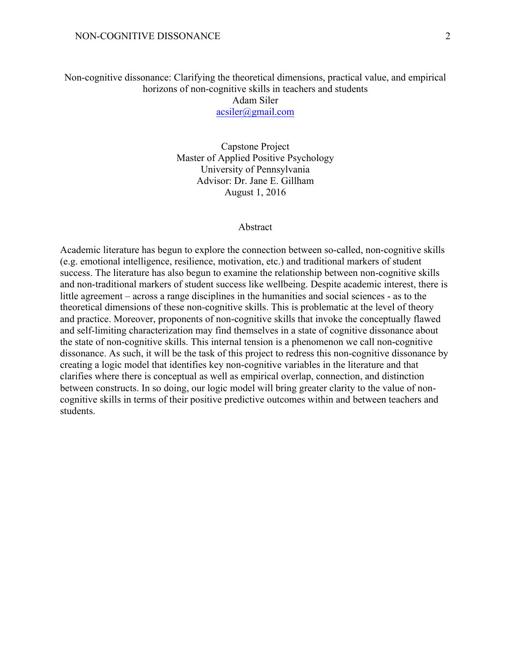acsiler@gmail.com

Capstone Project Master of Applied Positive Psychology University of Pennsylvania Advisor: Dr. Jane E. Gillham August 1, 2016

#### Abstract

Academic literature has begun to explore the connection between so-called, non-cognitive skills (e.g. emotional intelligence, resilience, motivation, etc.) and traditional markers of student success. The literature has also begun to examine the relationship between non-cognitive skills and non-traditional markers of student success like wellbeing. Despite academic interest, there is little agreement – across a range disciplines in the humanities and social sciences - as to the theoretical dimensions of these non-cognitive skills. This is problematic at the level of theory and practice. Moreover, proponents of non-cognitive skills that invoke the conceptually flawed and self-limiting characterization may find themselves in a state of cognitive dissonance about the state of non-cognitive skills. This internal tension is a phenomenon we call non-cognitive dissonance. As such, it will be the task of this project to redress this non-cognitive dissonance by creating a logic model that identifies key non-cognitive variables in the literature and that clarifies where there is conceptual as well as empirical overlap, connection, and distinction between constructs. In so doing, our logic model will bring greater clarity to the value of noncognitive skills in terms of their positive predictive outcomes within and between teachers and students.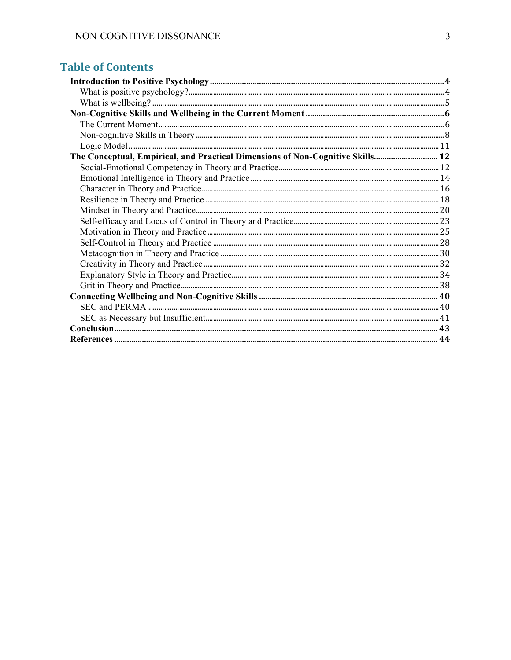### **Table of Contents**

| The Conceptual, Empirical, and Practical Dimensions of Non-Cognitive Skills 12 |  |
|--------------------------------------------------------------------------------|--|
|                                                                                |  |
|                                                                                |  |
|                                                                                |  |
|                                                                                |  |
|                                                                                |  |
|                                                                                |  |
|                                                                                |  |
|                                                                                |  |
|                                                                                |  |
|                                                                                |  |
|                                                                                |  |
|                                                                                |  |
|                                                                                |  |
|                                                                                |  |
|                                                                                |  |
|                                                                                |  |
|                                                                                |  |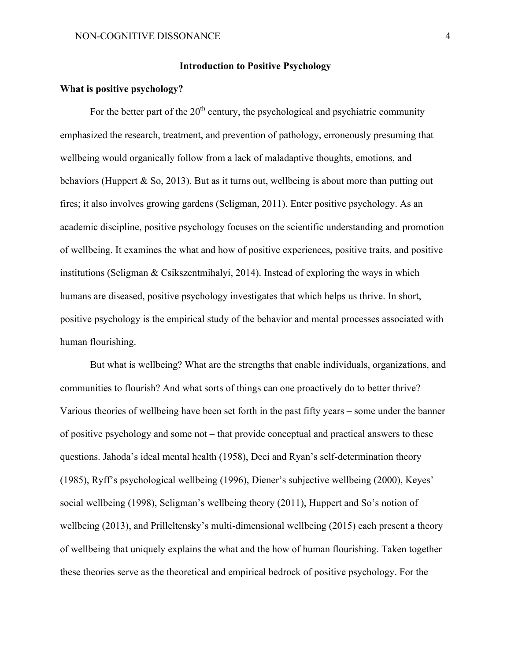#### **Introduction to Positive Psychology**

#### **What is positive psychology?**

For the better part of the  $20<sup>th</sup>$  century, the psychological and psychiatric community emphasized the research, treatment, and prevention of pathology, erroneously presuming that wellbeing would organically follow from a lack of maladaptive thoughts, emotions, and behaviors (Huppert  $&$  So, 2013). But as it turns out, wellbeing is about more than putting out fires; it also involves growing gardens (Seligman, 2011). Enter positive psychology. As an academic discipline, positive psychology focuses on the scientific understanding and promotion of wellbeing. It examines the what and how of positive experiences, positive traits, and positive institutions (Seligman & Csikszentmihalyi, 2014). Instead of exploring the ways in which humans are diseased, positive psychology investigates that which helps us thrive. In short, positive psychology is the empirical study of the behavior and mental processes associated with human flourishing.

But what is wellbeing? What are the strengths that enable individuals, organizations, and communities to flourish? And what sorts of things can one proactively do to better thrive? Various theories of wellbeing have been set forth in the past fifty years – some under the banner of positive psychology and some not – that provide conceptual and practical answers to these questions. Jahoda's ideal mental health (1958), Deci and Ryan's self-determination theory (1985), Ryff's psychological wellbeing (1996), Diener's subjective wellbeing (2000), Keyes' social wellbeing (1998), Seligman's wellbeing theory (2011), Huppert and So's notion of wellbeing (2013), and Prilleltensky's multi-dimensional wellbeing (2015) each present a theory of wellbeing that uniquely explains the what and the how of human flourishing. Taken together these theories serve as the theoretical and empirical bedrock of positive psychology. For the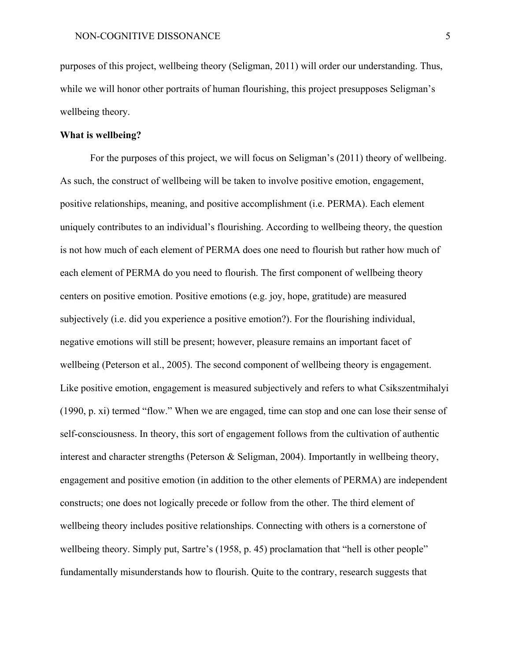purposes of this project, wellbeing theory (Seligman, 2011) will order our understanding. Thus, while we will honor other portraits of human flourishing, this project presupposes Seligman's wellbeing theory.

#### **What is wellbeing?**

For the purposes of this project, we will focus on Seligman's (2011) theory of wellbeing. As such, the construct of wellbeing will be taken to involve positive emotion, engagement, positive relationships, meaning, and positive accomplishment (i.e. PERMA). Each element uniquely contributes to an individual's flourishing. According to wellbeing theory, the question is not how much of each element of PERMA does one need to flourish but rather how much of each element of PERMA do you need to flourish. The first component of wellbeing theory centers on positive emotion. Positive emotions (e.g. joy, hope, gratitude) are measured subjectively (i.e. did you experience a positive emotion?). For the flourishing individual, negative emotions will still be present; however, pleasure remains an important facet of wellbeing (Peterson et al., 2005). The second component of wellbeing theory is engagement. Like positive emotion, engagement is measured subjectively and refers to what Csikszentmihalyi (1990, p. xi) termed "flow." When we are engaged, time can stop and one can lose their sense of self-consciousness. In theory, this sort of engagement follows from the cultivation of authentic interest and character strengths (Peterson & Seligman, 2004). Importantly in wellbeing theory, engagement and positive emotion (in addition to the other elements of PERMA) are independent constructs; one does not logically precede or follow from the other. The third element of wellbeing theory includes positive relationships. Connecting with others is a cornerstone of wellbeing theory. Simply put, Sartre's (1958, p. 45) proclamation that "hell is other people" fundamentally misunderstands how to flourish. Quite to the contrary, research suggests that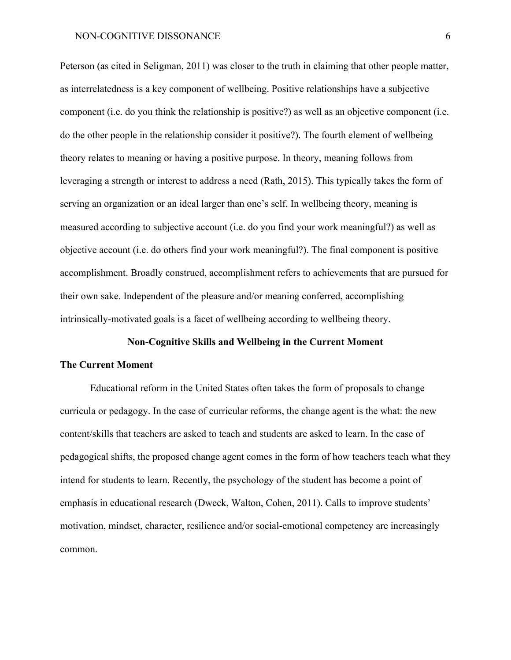Peterson (as cited in Seligman, 2011) was closer to the truth in claiming that other people matter, as interrelatedness is a key component of wellbeing. Positive relationships have a subjective component (i.e. do you think the relationship is positive?) as well as an objective component (i.e. do the other people in the relationship consider it positive?). The fourth element of wellbeing theory relates to meaning or having a positive purpose. In theory, meaning follows from leveraging a strength or interest to address a need (Rath, 2015). This typically takes the form of serving an organization or an ideal larger than one's self. In wellbeing theory, meaning is measured according to subjective account (i.e. do you find your work meaningful?) as well as objective account (i.e. do others find your work meaningful?). The final component is positive accomplishment. Broadly construed, accomplishment refers to achievements that are pursued for their own sake. Independent of the pleasure and/or meaning conferred, accomplishing intrinsically-motivated goals is a facet of wellbeing according to wellbeing theory.

#### **Non-Cognitive Skills and Wellbeing in the Current Moment**

#### **The Current Moment**

Educational reform in the United States often takes the form of proposals to change curricula or pedagogy. In the case of curricular reforms, the change agent is the what: the new content/skills that teachers are asked to teach and students are asked to learn. In the case of pedagogical shifts, the proposed change agent comes in the form of how teachers teach what they intend for students to learn. Recently, the psychology of the student has become a point of emphasis in educational research (Dweck, Walton, Cohen, 2011). Calls to improve students' motivation, mindset, character, resilience and/or social-emotional competency are increasingly common.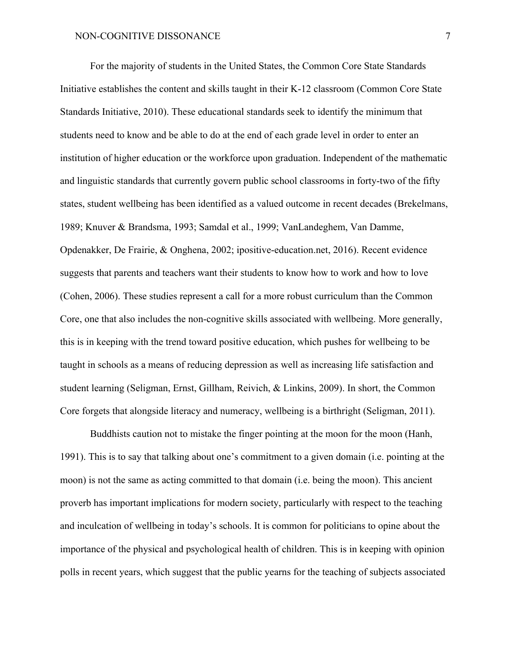For the majority of students in the United States, the Common Core State Standards Initiative establishes the content and skills taught in their K-12 classroom (Common Core State Standards Initiative, 2010). These educational standards seek to identify the minimum that students need to know and be able to do at the end of each grade level in order to enter an institution of higher education or the workforce upon graduation. Independent of the mathematic and linguistic standards that currently govern public school classrooms in forty-two of the fifty states, student wellbeing has been identified as a valued outcome in recent decades (Brekelmans, 1989; Knuver & Brandsma, 1993; Samdal et al., 1999; VanLandeghem, Van Damme, Opdenakker, De Frairie, & Onghena, 2002; ipositive-education.net, 2016). Recent evidence suggests that parents and teachers want their students to know how to work and how to love (Cohen, 2006). These studies represent a call for a more robust curriculum than the Common Core, one that also includes the non-cognitive skills associated with wellbeing. More generally, this is in keeping with the trend toward positive education, which pushes for wellbeing to be taught in schools as a means of reducing depression as well as increasing life satisfaction and student learning (Seligman, Ernst, Gillham, Reivich, & Linkins, 2009). In short, the Common Core forgets that alongside literacy and numeracy, wellbeing is a birthright (Seligman, 2011).

Buddhists caution not to mistake the finger pointing at the moon for the moon (Hanh, 1991). This is to say that talking about one's commitment to a given domain (i.e. pointing at the moon) is not the same as acting committed to that domain (i.e. being the moon). This ancient proverb has important implications for modern society, particularly with respect to the teaching and inculcation of wellbeing in today's schools. It is common for politicians to opine about the importance of the physical and psychological health of children. This is in keeping with opinion polls in recent years, which suggest that the public yearns for the teaching of subjects associated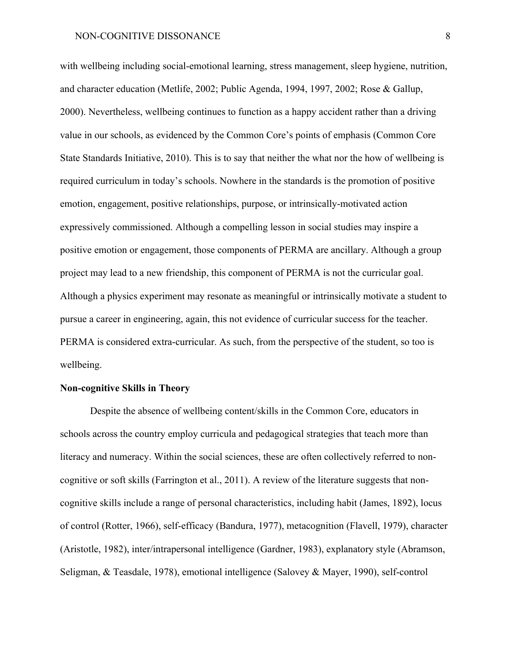with wellbeing including social-emotional learning, stress management, sleep hygiene, nutrition, and character education (Metlife, 2002; Public Agenda, 1994, 1997, 2002; Rose & Gallup, 2000). Nevertheless, wellbeing continues to function as a happy accident rather than a driving value in our schools, as evidenced by the Common Core's points of emphasis (Common Core State Standards Initiative, 2010). This is to say that neither the what nor the how of wellbeing is required curriculum in today's schools. Nowhere in the standards is the promotion of positive emotion, engagement, positive relationships, purpose, or intrinsically-motivated action expressively commissioned. Although a compelling lesson in social studies may inspire a positive emotion or engagement, those components of PERMA are ancillary. Although a group project may lead to a new friendship, this component of PERMA is not the curricular goal. Although a physics experiment may resonate as meaningful or intrinsically motivate a student to pursue a career in engineering, again, this not evidence of curricular success for the teacher. PERMA is considered extra-curricular. As such, from the perspective of the student, so too is wellbeing.

#### **Non-cognitive Skills in Theory**

Despite the absence of wellbeing content/skills in the Common Core, educators in schools across the country employ curricula and pedagogical strategies that teach more than literacy and numeracy. Within the social sciences, these are often collectively referred to noncognitive or soft skills (Farrington et al., 2011). A review of the literature suggests that noncognitive skills include a range of personal characteristics, including habit (James, 1892), locus of control (Rotter, 1966), self-efficacy (Bandura, 1977), metacognition (Flavell, 1979), character (Aristotle, 1982), inter/intrapersonal intelligence (Gardner, 1983), explanatory style (Abramson, Seligman, & Teasdale, 1978), emotional intelligence (Salovey & Mayer, 1990), self-control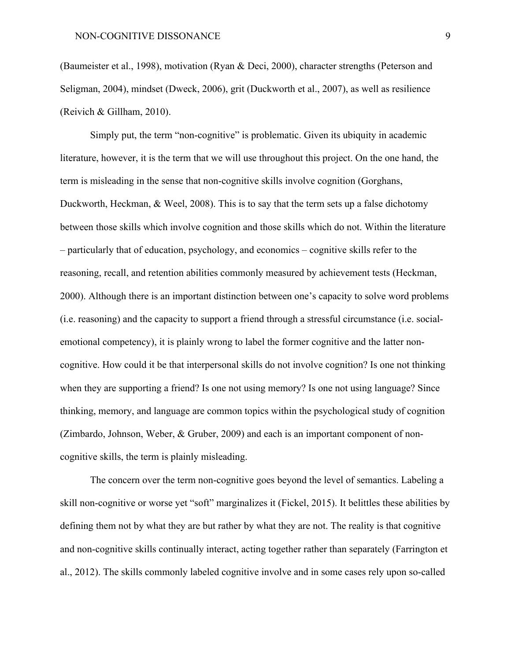(Baumeister et al., 1998), motivation (Ryan & Deci, 2000), character strengths (Peterson and Seligman, 2004), mindset (Dweck, 2006), grit (Duckworth et al., 2007), as well as resilience (Reivich & Gillham, 2010).

Simply put, the term "non-cognitive" is problematic. Given its ubiquity in academic literature, however, it is the term that we will use throughout this project. On the one hand, the term is misleading in the sense that non-cognitive skills involve cognition (Gorghans, Duckworth, Heckman, & Weel, 2008). This is to say that the term sets up a false dichotomy between those skills which involve cognition and those skills which do not. Within the literature – particularly that of education, psychology, and economics – cognitive skills refer to the reasoning, recall, and retention abilities commonly measured by achievement tests (Heckman, 2000). Although there is an important distinction between one's capacity to solve word problems (i.e. reasoning) and the capacity to support a friend through a stressful circumstance (i.e. socialemotional competency), it is plainly wrong to label the former cognitive and the latter noncognitive. How could it be that interpersonal skills do not involve cognition? Is one not thinking when they are supporting a friend? Is one not using memory? Is one not using language? Since thinking, memory, and language are common topics within the psychological study of cognition (Zimbardo, Johnson, Weber, & Gruber, 2009) and each is an important component of noncognitive skills, the term is plainly misleading.

The concern over the term non-cognitive goes beyond the level of semantics. Labeling a skill non-cognitive or worse yet "soft" marginalizes it (Fickel, 2015). It belittles these abilities by defining them not by what they are but rather by what they are not. The reality is that cognitive and non-cognitive skills continually interact, acting together rather than separately (Farrington et al., 2012). The skills commonly labeled cognitive involve and in some cases rely upon so-called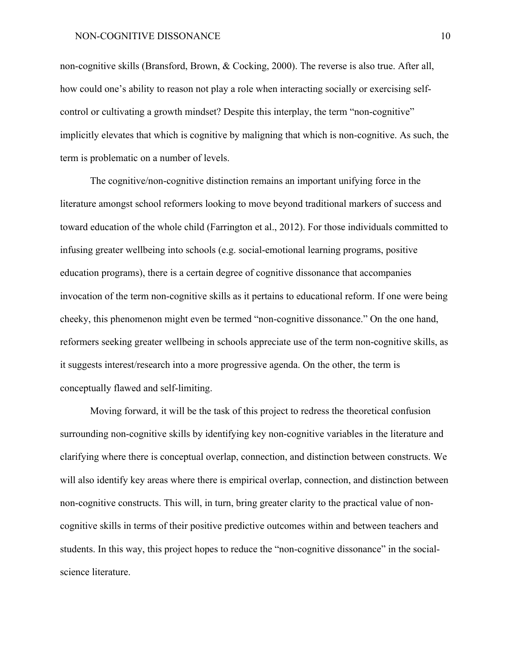non-cognitive skills (Bransford, Brown, & Cocking, 2000). The reverse is also true. After all, how could one's ability to reason not play a role when interacting socially or exercising selfcontrol or cultivating a growth mindset? Despite this interplay, the term "non-cognitive" implicitly elevates that which is cognitive by maligning that which is non-cognitive. As such, the term is problematic on a number of levels.

The cognitive/non-cognitive distinction remains an important unifying force in the literature amongst school reformers looking to move beyond traditional markers of success and toward education of the whole child (Farrington et al., 2012). For those individuals committed to infusing greater wellbeing into schools (e.g. social-emotional learning programs, positive education programs), there is a certain degree of cognitive dissonance that accompanies invocation of the term non-cognitive skills as it pertains to educational reform. If one were being cheeky, this phenomenon might even be termed "non-cognitive dissonance." On the one hand, reformers seeking greater wellbeing in schools appreciate use of the term non-cognitive skills, as it suggests interest/research into a more progressive agenda. On the other, the term is conceptually flawed and self-limiting.

Moving forward, it will be the task of this project to redress the theoretical confusion surrounding non-cognitive skills by identifying key non-cognitive variables in the literature and clarifying where there is conceptual overlap, connection, and distinction between constructs. We will also identify key areas where there is empirical overlap, connection, and distinction between non-cognitive constructs. This will, in turn, bring greater clarity to the practical value of noncognitive skills in terms of their positive predictive outcomes within and between teachers and students. In this way, this project hopes to reduce the "non-cognitive dissonance" in the socialscience literature.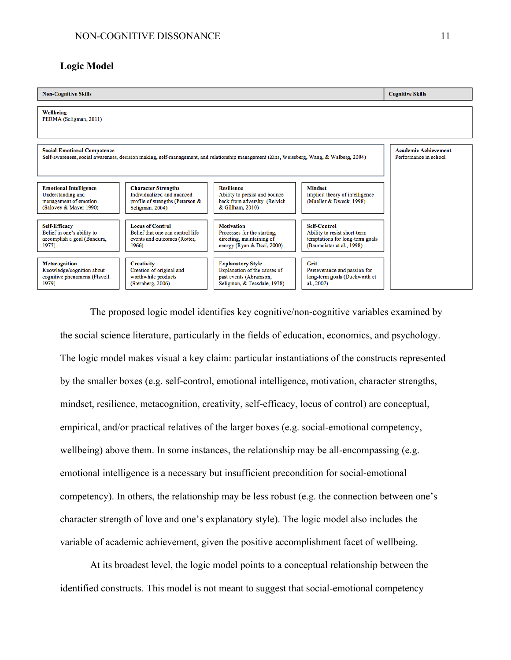#### **Logic Model**



The proposed logic model identifies key cognitive/non-cognitive variables examined by the social science literature, particularly in the fields of education, economics, and psychology. The logic model makes visual a key claim: particular instantiations of the constructs represented by the smaller boxes (e.g. self-control, emotional intelligence, motivation, character strengths, mindset, resilience, metacognition, creativity, self-efficacy, locus of control) are conceptual, empirical, and/or practical relatives of the larger boxes (e.g. social-emotional competency, wellbeing) above them. In some instances, the relationship may be all-encompassing (e.g. emotional intelligence is a necessary but insufficient precondition for social-emotional competency). In others, the relationship may be less robust (e.g. the connection between one's character strength of love and one's explanatory style). The logic model also includes the variable of academic achievement, given the positive accomplishment facet of wellbeing.

At its broadest level, the logic model points to a conceptual relationship between the identified constructs. This model is not meant to suggest that social-emotional competency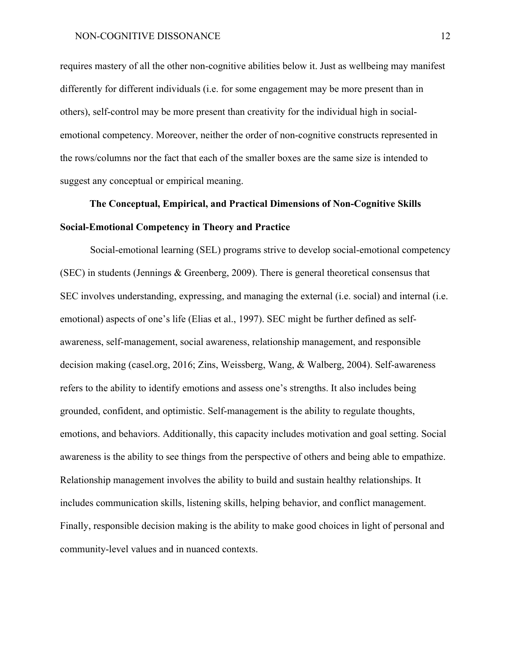requires mastery of all the other non-cognitive abilities below it. Just as wellbeing may manifest differently for different individuals (i.e. for some engagement may be more present than in others), self-control may be more present than creativity for the individual high in socialemotional competency. Moreover, neither the order of non-cognitive constructs represented in the rows/columns nor the fact that each of the smaller boxes are the same size is intended to suggest any conceptual or empirical meaning.

## **The Conceptual, Empirical, and Practical Dimensions of Non-Cognitive Skills Social-Emotional Competency in Theory and Practice**

Social-emotional learning (SEL) programs strive to develop social-emotional competency (SEC) in students (Jennings & Greenberg, 2009). There is general theoretical consensus that SEC involves understanding, expressing, and managing the external (i.e. social) and internal (i.e. emotional) aspects of one's life (Elias et al., 1997). SEC might be further defined as selfawareness, self-management, social awareness, relationship management, and responsible decision making (casel.org, 2016; Zins, Weissberg, Wang, & Walberg, 2004). Self-awareness refers to the ability to identify emotions and assess one's strengths. It also includes being grounded, confident, and optimistic. Self-management is the ability to regulate thoughts, emotions, and behaviors. Additionally, this capacity includes motivation and goal setting. Social awareness is the ability to see things from the perspective of others and being able to empathize. Relationship management involves the ability to build and sustain healthy relationships. It includes communication skills, listening skills, helping behavior, and conflict management. Finally, responsible decision making is the ability to make good choices in light of personal and community-level values and in nuanced contexts.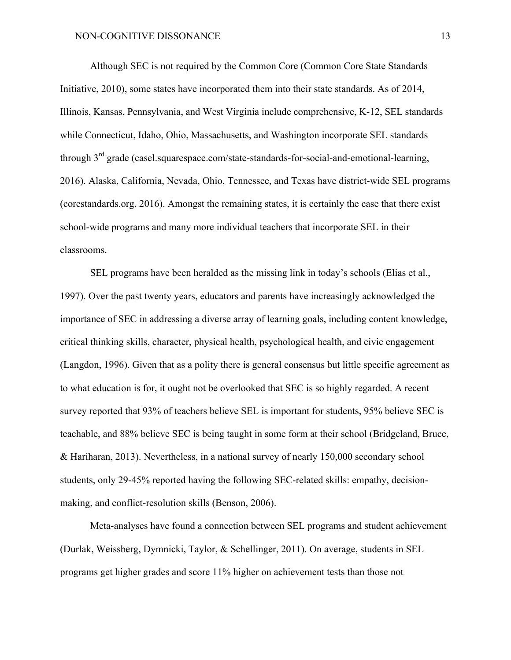Although SEC is not required by the Common Core (Common Core State Standards Initiative, 2010), some states have incorporated them into their state standards. As of 2014, Illinois, Kansas, Pennsylvania, and West Virginia include comprehensive, K-12, SEL standards while Connecticut, Idaho, Ohio, Massachusetts, and Washington incorporate SEL standards through  $3<sup>rd</sup>$  grade (casel.squarespace.com/state-standards-for-social-and-emotional-learning, 2016). Alaska, California, Nevada, Ohio, Tennessee, and Texas have district-wide SEL programs (corestandards.org, 2016). Amongst the remaining states, it is certainly the case that there exist school-wide programs and many more individual teachers that incorporate SEL in their classrooms.

SEL programs have been heralded as the missing link in today's schools (Elias et al., 1997). Over the past twenty years, educators and parents have increasingly acknowledged the importance of SEC in addressing a diverse array of learning goals, including content knowledge, critical thinking skills, character, physical health, psychological health, and civic engagement (Langdon, 1996). Given that as a polity there is general consensus but little specific agreement as to what education is for, it ought not be overlooked that SEC is so highly regarded. A recent survey reported that 93% of teachers believe SEL is important for students, 95% believe SEC is teachable, and 88% believe SEC is being taught in some form at their school (Bridgeland, Bruce, & Hariharan, 2013). Nevertheless, in a national survey of nearly 150,000 secondary school students, only 29-45% reported having the following SEC-related skills: empathy, decisionmaking, and conflict-resolution skills (Benson, 2006).

Meta-analyses have found a connection between SEL programs and student achievement (Durlak, Weissberg, Dymnicki, Taylor, & Schellinger, 2011). On average, students in SEL programs get higher grades and score 11% higher on achievement tests than those not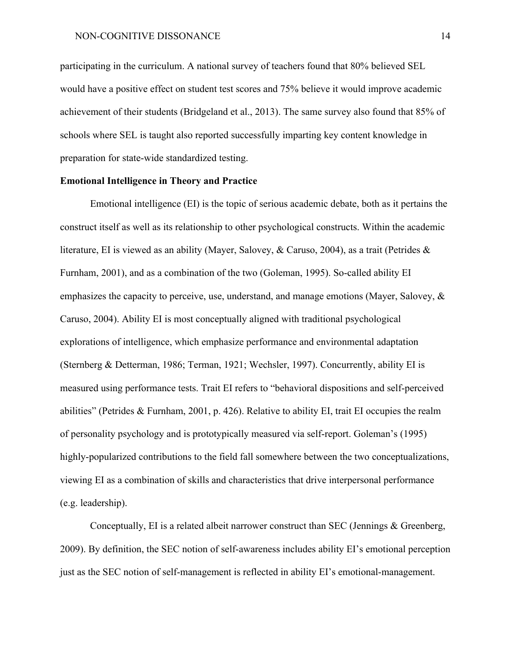participating in the curriculum. A national survey of teachers found that 80% believed SEL would have a positive effect on student test scores and 75% believe it would improve academic achievement of their students (Bridgeland et al., 2013). The same survey also found that 85% of schools where SEL is taught also reported successfully imparting key content knowledge in preparation for state-wide standardized testing.

#### **Emotional Intelligence in Theory and Practice**

Emotional intelligence (EI) is the topic of serious academic debate, both as it pertains the construct itself as well as its relationship to other psychological constructs. Within the academic literature, EI is viewed as an ability (Mayer, Salovey, & Caruso, 2004), as a trait (Petrides & Furnham, 2001), and as a combination of the two (Goleman, 1995). So-called ability EI emphasizes the capacity to perceive, use, understand, and manage emotions (Mayer, Salovey, & Caruso, 2004). Ability EI is most conceptually aligned with traditional psychological explorations of intelligence, which emphasize performance and environmental adaptation (Sternberg & Detterman, 1986; Terman, 1921; Wechsler, 1997). Concurrently, ability EI is measured using performance tests. Trait EI refers to "behavioral dispositions and self-perceived abilities" (Petrides & Furnham, 2001, p. 426). Relative to ability EI, trait EI occupies the realm of personality psychology and is prototypically measured via self-report. Goleman's (1995) highly-popularized contributions to the field fall somewhere between the two conceptualizations, viewing EI as a combination of skills and characteristics that drive interpersonal performance (e.g. leadership).

Conceptually, EI is a related albeit narrower construct than SEC (Jennings & Greenberg, 2009). By definition, the SEC notion of self-awareness includes ability EI's emotional perception just as the SEC notion of self-management is reflected in ability EI's emotional-management.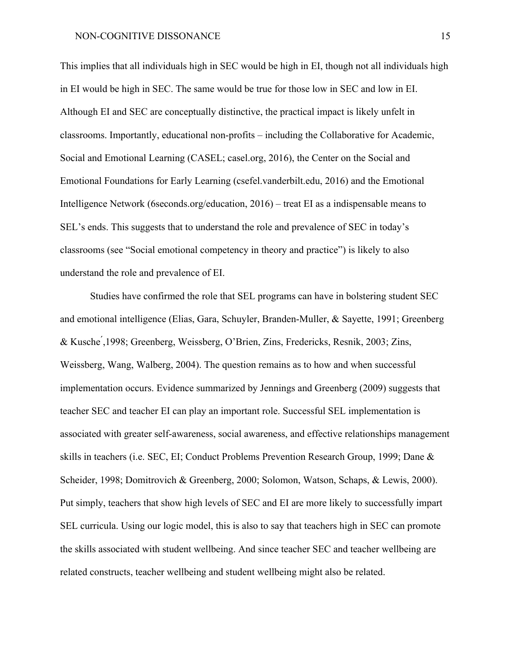This implies that all individuals high in SEC would be high in EI, though not all individuals high in EI would be high in SEC. The same would be true for those low in SEC and low in EI. Although EI and SEC are conceptually distinctive, the practical impact is likely unfelt in classrooms. Importantly, educational non-profits – including the Collaborative for Academic, Social and Emotional Learning (CASEL; casel.org, 2016), the Center on the Social and Emotional Foundations for Early Learning (csefel.vanderbilt.edu, 2016) and the Emotional Intelligence Network (6seconds.org/education, 2016) – treat EI as a indispensable means to SEL's ends. This suggests that to understand the role and prevalence of SEC in today's classrooms (see "Social emotional competency in theory and practice") is likely to also understand the role and prevalence of EI.

Studies have confirmed the role that SEL programs can have in bolstering student SEC and emotional intelligence (Elias, Gara, Schuyler, Branden-Muller, & Sayette, 1991; Greenberg & Kusche ́,1998; Greenberg, Weissberg, O'Brien, Zins, Fredericks, Resnik, 2003; Zins, Weissberg, Wang, Walberg, 2004). The question remains as to how and when successful implementation occurs. Evidence summarized by Jennings and Greenberg (2009) suggests that teacher SEC and teacher EI can play an important role. Successful SEL implementation is associated with greater self-awareness, social awareness, and effective relationships management skills in teachers (i.e. SEC, EI; Conduct Problems Prevention Research Group, 1999; Dane & Scheider, 1998; Domitrovich & Greenberg, 2000; Solomon, Watson, Schaps, & Lewis, 2000). Put simply, teachers that show high levels of SEC and EI are more likely to successfully impart SEL curricula. Using our logic model, this is also to say that teachers high in SEC can promote the skills associated with student wellbeing. And since teacher SEC and teacher wellbeing are related constructs, teacher wellbeing and student wellbeing might also be related.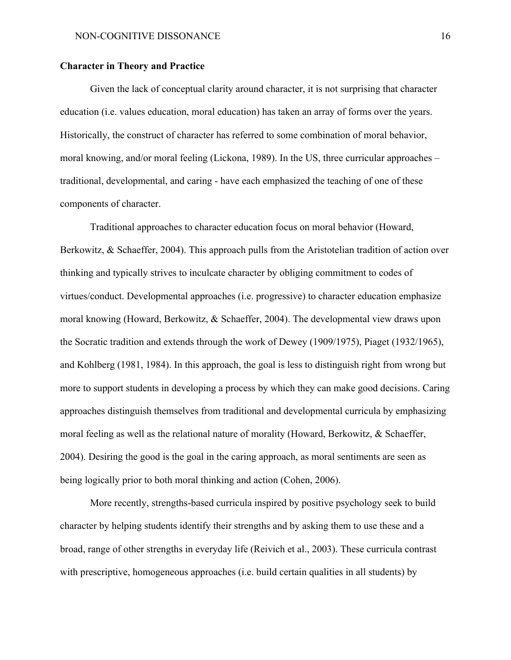#### **Character in Theory and Practice**

Given the lack of conceptual clarity around character, it is not surprising that character education (i.e. values education, moral education) has taken an array of forms over the years. Historically, the construct of character has referred to some combination of moral behavior, moral knowing, and/or moral feeling (Lickona, 1989). In the US, three curricular approaches – traditional, developmental, and caring - have each emphasized the teaching of one of these components of character.

Traditional approaches to character education focus on moral behavior (Howard, Berkowitz, & Schaeffer, 2004). This approach pulls from the Aristotelian tradition of action over thinking and typically strives to inculcate character by obliging commitment to codes of virtues/conduct. Developmental approaches (i.e. progressive) to character education emphasize moral knowing (Howard, Berkowitz, & Schaeffer, 2004). The developmental view draws upon the Socratic tradition and extends through the work of Dewey (1909/1975), Piaget (1932/1965), and Kohlberg (1981, 1984). In this approach, the goal is less to distinguish right from wrong but more to support students in developing a process by which they can make good decisions. Caring approaches distinguish themselves from traditional and developmental curricula by emphasizing moral feeling as well as the relational nature of morality (Howard, Berkowitz, & Schaeffer, 2004). Desiring the good is the goal in the caring approach, as moral sentiments are seen as being logically prior to both moral thinking and action (Cohen, 2006).

More recently, strengths-based curricula inspired by positive psychology seek to build character by helping students identify their strengths and by asking them to use these and a broad, range of other strengths in everyday life (Reivich et al., 2003). These curricula contrast with prescriptive, homogeneous approaches (i.e. build certain qualities in all students) by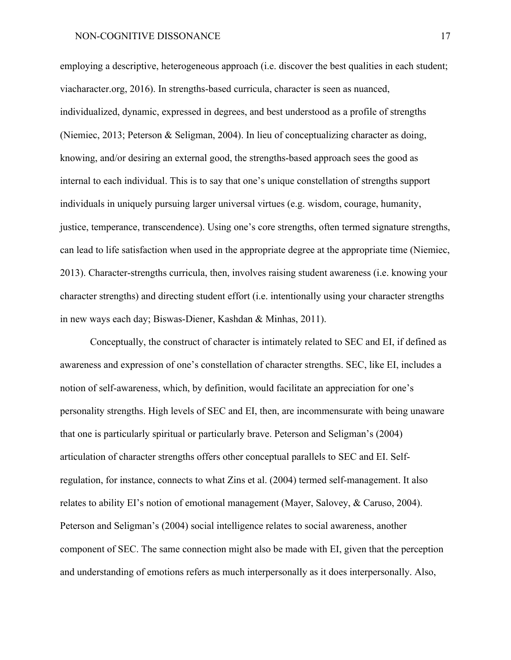employing a descriptive, heterogeneous approach (i.e. discover the best qualities in each student; viacharacter.org, 2016). In strengths-based curricula, character is seen as nuanced, individualized, dynamic, expressed in degrees, and best understood as a profile of strengths (Niemiec, 2013; Peterson & Seligman, 2004). In lieu of conceptualizing character as doing, knowing, and/or desiring an external good, the strengths-based approach sees the good as internal to each individual. This is to say that one's unique constellation of strengths support individuals in uniquely pursuing larger universal virtues (e.g. wisdom, courage, humanity, justice, temperance, transcendence). Using one's core strengths, often termed signature strengths, can lead to life satisfaction when used in the appropriate degree at the appropriate time (Niemiec, 2013). Character-strengths curricula, then, involves raising student awareness (i.e. knowing your character strengths) and directing student effort (i.e. intentionally using your character strengths in new ways each day; Biswas-Diener, Kashdan & Minhas, 2011).

Conceptually, the construct of character is intimately related to SEC and EI, if defined as awareness and expression of one's constellation of character strengths. SEC, like EI, includes a notion of self-awareness, which, by definition, would facilitate an appreciation for one's personality strengths. High levels of SEC and EI, then, are incommensurate with being unaware that one is particularly spiritual or particularly brave. Peterson and Seligman's (2004) articulation of character strengths offers other conceptual parallels to SEC and EI. Selfregulation, for instance, connects to what Zins et al. (2004) termed self-management. It also relates to ability EI's notion of emotional management (Mayer, Salovey, & Caruso, 2004). Peterson and Seligman's (2004) social intelligence relates to social awareness, another component of SEC. The same connection might also be made with EI, given that the perception and understanding of emotions refers as much interpersonally as it does interpersonally. Also,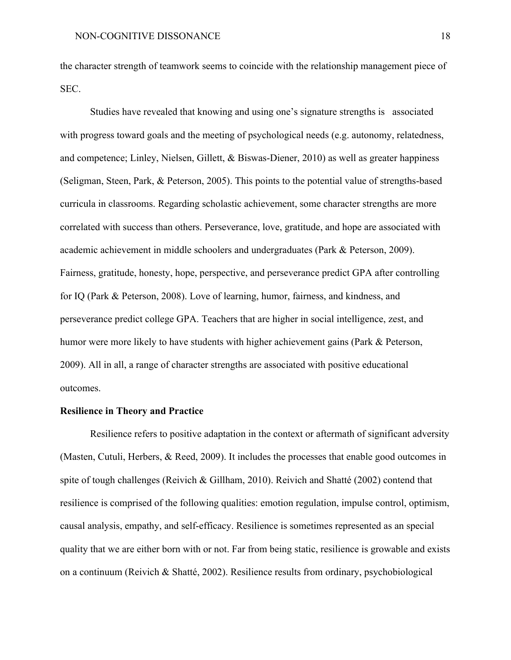the character strength of teamwork seems to coincide with the relationship management piece of SEC.

Studies have revealed that knowing and using one's signature strengths is associated with progress toward goals and the meeting of psychological needs (e.g. autonomy, relatedness, and competence; Linley, Nielsen, Gillett, & Biswas-Diener, 2010) as well as greater happiness (Seligman, Steen, Park, & Peterson, 2005). This points to the potential value of strengths-based curricula in classrooms. Regarding scholastic achievement, some character strengths are more correlated with success than others. Perseverance, love, gratitude, and hope are associated with academic achievement in middle schoolers and undergraduates (Park & Peterson, 2009). Fairness, gratitude, honesty, hope, perspective, and perseverance predict GPA after controlling for IQ (Park & Peterson, 2008). Love of learning, humor, fairness, and kindness, and perseverance predict college GPA. Teachers that are higher in social intelligence, zest, and humor were more likely to have students with higher achievement gains (Park & Peterson, 2009). All in all, a range of character strengths are associated with positive educational outcomes.

#### **Resilience in Theory and Practice**

Resilience refers to positive adaptation in the context or aftermath of significant adversity (Masten, Cutuli, Herbers, & Reed, 2009). It includes the processes that enable good outcomes in spite of tough challenges (Reivich & Gillham, 2010). Reivich and Shatté (2002) contend that resilience is comprised of the following qualities: emotion regulation, impulse control, optimism, causal analysis, empathy, and self-efficacy. Resilience is sometimes represented as an special quality that we are either born with or not. Far from being static, resilience is growable and exists on a continuum (Reivich & Shatté, 2002). Resilience results from ordinary, psychobiological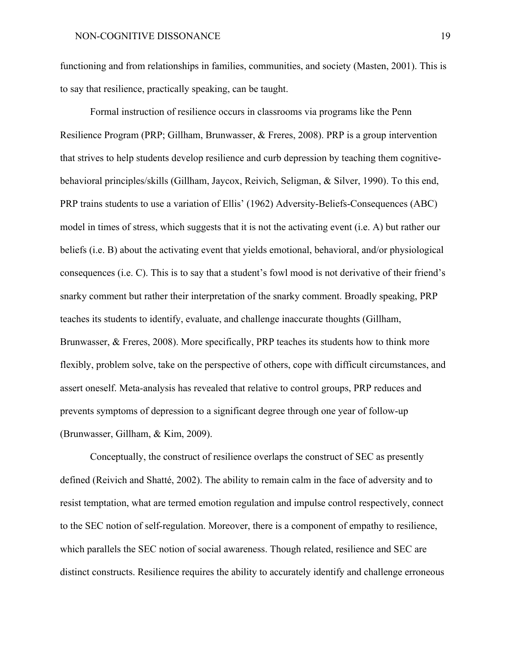functioning and from relationships in families, communities, and society (Masten, 2001). This is to say that resilience, practically speaking, can be taught.

Formal instruction of resilience occurs in classrooms via programs like the Penn Resilience Program (PRP; Gillham, Brunwasser, & Freres, 2008). PRP is a group intervention that strives to help students develop resilience and curb depression by teaching them cognitivebehavioral principles/skills (Gillham, Jaycox, Reivich, Seligman, & Silver, 1990). To this end, PRP trains students to use a variation of Ellis' (1962) Adversity-Beliefs-Consequences (ABC) model in times of stress, which suggests that it is not the activating event (i.e. A) but rather our beliefs (i.e. B) about the activating event that yields emotional, behavioral, and/or physiological consequences (i.e. C). This is to say that a student's fowl mood is not derivative of their friend's snarky comment but rather their interpretation of the snarky comment. Broadly speaking, PRP teaches its students to identify, evaluate, and challenge inaccurate thoughts (Gillham, Brunwasser, & Freres, 2008). More specifically, PRP teaches its students how to think more flexibly, problem solve, take on the perspective of others, cope with difficult circumstances, and assert oneself. Meta-analysis has revealed that relative to control groups, PRP reduces and prevents symptoms of depression to a significant degree through one year of follow-up (Brunwasser, Gillham, & Kim, 2009).

Conceptually, the construct of resilience overlaps the construct of SEC as presently defined (Reivich and Shatté, 2002). The ability to remain calm in the face of adversity and to resist temptation, what are termed emotion regulation and impulse control respectively, connect to the SEC notion of self-regulation. Moreover, there is a component of empathy to resilience, which parallels the SEC notion of social awareness. Though related, resilience and SEC are distinct constructs. Resilience requires the ability to accurately identify and challenge erroneous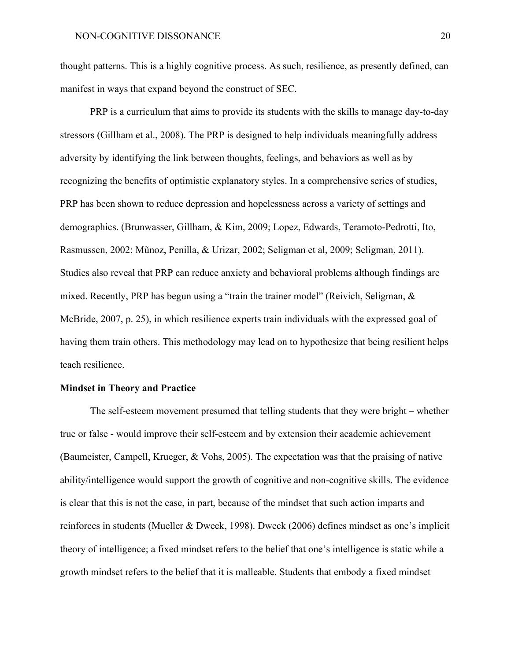thought patterns. This is a highly cognitive process. As such, resilience, as presently defined, can manifest in ways that expand beyond the construct of SEC.

PRP is a curriculum that aims to provide its students with the skills to manage day-to-day stressors (Gillham et al., 2008). The PRP is designed to help individuals meaningfully address adversity by identifying the link between thoughts, feelings, and behaviors as well as by recognizing the benefits of optimistic explanatory styles. In a comprehensive series of studies, PRP has been shown to reduce depression and hopelessness across a variety of settings and demographics. (Brunwasser, Gillham, & Kim, 2009; Lopez, Edwards, Teramoto-Pedrotti, Ito, Rasmussen, 2002; Mũnoz, Penilla, & Urizar, 2002; Seligman et al, 2009; Seligman, 2011). Studies also reveal that PRP can reduce anxiety and behavioral problems although findings are mixed. Recently, PRP has begun using a "train the trainer model" (Reivich, Seligman, & McBride, 2007, p. 25), in which resilience experts train individuals with the expressed goal of having them train others. This methodology may lead on to hypothesize that being resilient helps teach resilience.

#### **Mindset in Theory and Practice**

The self-esteem movement presumed that telling students that they were bright – whether true or false - would improve their self-esteem and by extension their academic achievement (Baumeister, Campell, Krueger, & Vohs, 2005). The expectation was that the praising of native ability/intelligence would support the growth of cognitive and non-cognitive skills. The evidence is clear that this is not the case, in part, because of the mindset that such action imparts and reinforces in students (Mueller & Dweck, 1998). Dweck (2006) defines mindset as one's implicit theory of intelligence; a fixed mindset refers to the belief that one's intelligence is static while a growth mindset refers to the belief that it is malleable. Students that embody a fixed mindset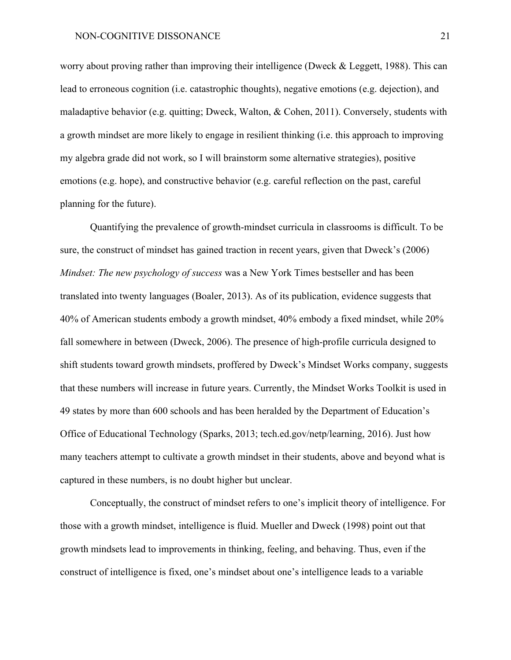worry about proving rather than improving their intelligence (Dweck & Leggett, 1988). This can lead to erroneous cognition (i.e. catastrophic thoughts), negative emotions (e.g. dejection), and maladaptive behavior (e.g. quitting; Dweck, Walton, & Cohen, 2011). Conversely, students with a growth mindset are more likely to engage in resilient thinking (i.e. this approach to improving my algebra grade did not work, so I will brainstorm some alternative strategies), positive emotions (e.g. hope), and constructive behavior (e.g. careful reflection on the past, careful planning for the future).

Quantifying the prevalence of growth-mindset curricula in classrooms is difficult. To be sure, the construct of mindset has gained traction in recent years, given that Dweck's (2006) *Mindset: The new psychology of success* was a New York Times bestseller and has been translated into twenty languages (Boaler, 2013). As of its publication, evidence suggests that 40% of American students embody a growth mindset, 40% embody a fixed mindset, while 20% fall somewhere in between (Dweck, 2006). The presence of high-profile curricula designed to shift students toward growth mindsets, proffered by Dweck's Mindset Works company, suggests that these numbers will increase in future years. Currently, the Mindset Works Toolkit is used in 49 states by more than 600 schools and has been heralded by the Department of Education's Office of Educational Technology (Sparks, 2013; tech.ed.gov/netp/learning, 2016). Just how many teachers attempt to cultivate a growth mindset in their students, above and beyond what is captured in these numbers, is no doubt higher but unclear.

Conceptually, the construct of mindset refers to one's implicit theory of intelligence. For those with a growth mindset, intelligence is fluid. Mueller and Dweck (1998) point out that growth mindsets lead to improvements in thinking, feeling, and behaving. Thus, even if the construct of intelligence is fixed, one's mindset about one's intelligence leads to a variable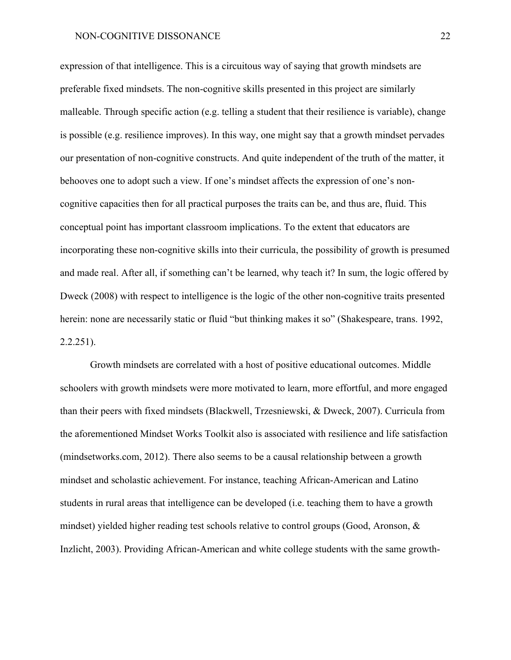#### NON-COGNITIVE DISSONANCE 22

expression of that intelligence. This is a circuitous way of saying that growth mindsets are preferable fixed mindsets. The non-cognitive skills presented in this project are similarly malleable. Through specific action (e.g. telling a student that their resilience is variable), change is possible (e.g. resilience improves). In this way, one might say that a growth mindset pervades our presentation of non-cognitive constructs. And quite independent of the truth of the matter, it behooves one to adopt such a view. If one's mindset affects the expression of one's noncognitive capacities then for all practical purposes the traits can be, and thus are, fluid. This conceptual point has important classroom implications. To the extent that educators are incorporating these non-cognitive skills into their curricula, the possibility of growth is presumed and made real. After all, if something can't be learned, why teach it? In sum, the logic offered by Dweck (2008) with respect to intelligence is the logic of the other non-cognitive traits presented herein: none are necessarily static or fluid "but thinking makes it so" (Shakespeare, trans. 1992, 2.2.251).

Growth mindsets are correlated with a host of positive educational outcomes. Middle schoolers with growth mindsets were more motivated to learn, more effortful, and more engaged than their peers with fixed mindsets (Blackwell, Trzesniewski, & Dweck, 2007). Curricula from the aforementioned Mindset Works Toolkit also is associated with resilience and life satisfaction (mindsetworks.com, 2012). There also seems to be a causal relationship between a growth mindset and scholastic achievement. For instance, teaching African-American and Latino students in rural areas that intelligence can be developed (i.e. teaching them to have a growth mindset) yielded higher reading test schools relative to control groups (Good, Aronson, & Inzlicht, 2003). Providing African-American and white college students with the same growth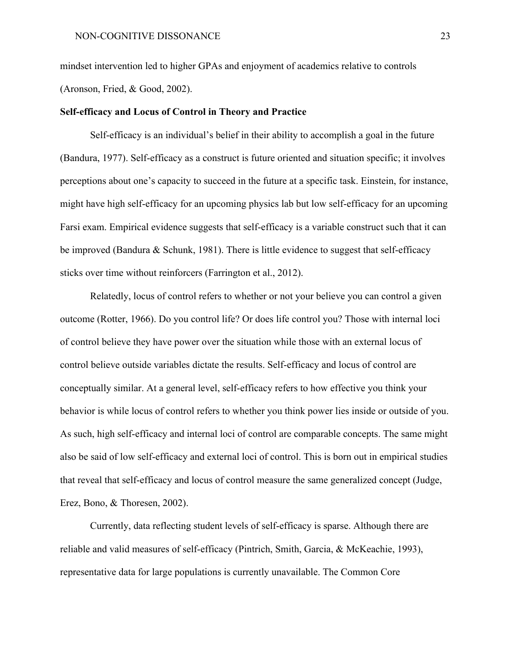mindset intervention led to higher GPAs and enjoyment of academics relative to controls (Aronson, Fried, & Good, 2002).

#### **Self-efficacy and Locus of Control in Theory and Practice**

Self-efficacy is an individual's belief in their ability to accomplish a goal in the future (Bandura, 1977). Self-efficacy as a construct is future oriented and situation specific; it involves perceptions about one's capacity to succeed in the future at a specific task. Einstein, for instance, might have high self-efficacy for an upcoming physics lab but low self-efficacy for an upcoming Farsi exam. Empirical evidence suggests that self-efficacy is a variable construct such that it can be improved (Bandura & Schunk, 1981). There is little evidence to suggest that self-efficacy sticks over time without reinforcers (Farrington et al., 2012).

Relatedly, locus of control refers to whether or not your believe you can control a given outcome (Rotter, 1966). Do you control life? Or does life control you? Those with internal loci of control believe they have power over the situation while those with an external locus of control believe outside variables dictate the results. Self-efficacy and locus of control are conceptually similar. At a general level, self-efficacy refers to how effective you think your behavior is while locus of control refers to whether you think power lies inside or outside of you. As such, high self-efficacy and internal loci of control are comparable concepts. The same might also be said of low self-efficacy and external loci of control. This is born out in empirical studies that reveal that self-efficacy and locus of control measure the same generalized concept (Judge, Erez, Bono, & Thoresen, 2002).

Currently, data reflecting student levels of self-efficacy is sparse. Although there are reliable and valid measures of self-efficacy (Pintrich, Smith, Garcia, & McKeachie, 1993), representative data for large populations is currently unavailable. The Common Core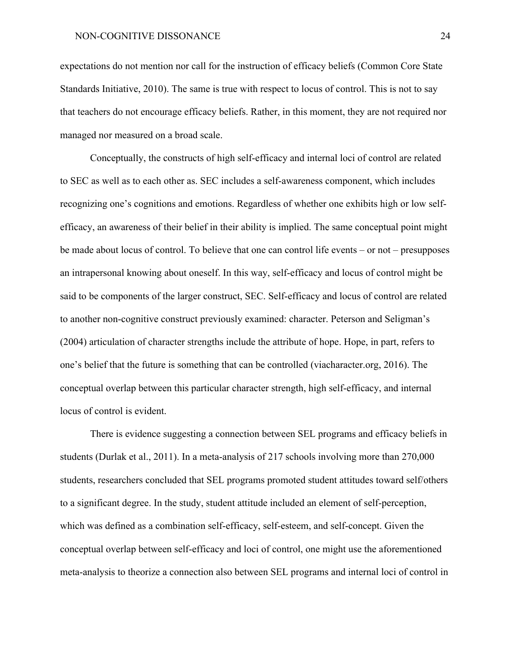expectations do not mention nor call for the instruction of efficacy beliefs (Common Core State Standards Initiative, 2010). The same is true with respect to locus of control. This is not to say that teachers do not encourage efficacy beliefs. Rather, in this moment, they are not required nor managed nor measured on a broad scale.

Conceptually, the constructs of high self-efficacy and internal loci of control are related to SEC as well as to each other as. SEC includes a self-awareness component, which includes recognizing one's cognitions and emotions. Regardless of whether one exhibits high or low selfefficacy, an awareness of their belief in their ability is implied. The same conceptual point might be made about locus of control. To believe that one can control life events – or not – presupposes an intrapersonal knowing about oneself. In this way, self-efficacy and locus of control might be said to be components of the larger construct, SEC. Self-efficacy and locus of control are related to another non-cognitive construct previously examined: character. Peterson and Seligman's (2004) articulation of character strengths include the attribute of hope. Hope, in part, refers to one's belief that the future is something that can be controlled (viacharacter.org, 2016). The conceptual overlap between this particular character strength, high self-efficacy, and internal locus of control is evident.

There is evidence suggesting a connection between SEL programs and efficacy beliefs in students (Durlak et al., 2011). In a meta-analysis of 217 schools involving more than 270,000 students, researchers concluded that SEL programs promoted student attitudes toward self/others to a significant degree. In the study, student attitude included an element of self-perception, which was defined as a combination self-efficacy, self-esteem, and self-concept. Given the conceptual overlap between self-efficacy and loci of control, one might use the aforementioned meta-analysis to theorize a connection also between SEL programs and internal loci of control in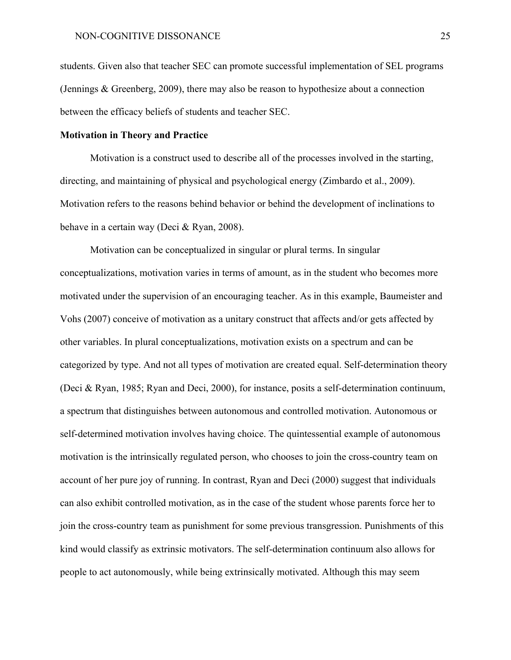students. Given also that teacher SEC can promote successful implementation of SEL programs (Jennings & Greenberg, 2009), there may also be reason to hypothesize about a connection between the efficacy beliefs of students and teacher SEC.

#### **Motivation in Theory and Practice**

Motivation is a construct used to describe all of the processes involved in the starting, directing, and maintaining of physical and psychological energy (Zimbardo et al., 2009). Motivation refers to the reasons behind behavior or behind the development of inclinations to behave in a certain way (Deci & Ryan, 2008).

Motivation can be conceptualized in singular or plural terms. In singular conceptualizations, motivation varies in terms of amount, as in the student who becomes more motivated under the supervision of an encouraging teacher. As in this example, Baumeister and Vohs (2007) conceive of motivation as a unitary construct that affects and/or gets affected by other variables. In plural conceptualizations, motivation exists on a spectrum and can be categorized by type. And not all types of motivation are created equal. Self-determination theory (Deci & Ryan, 1985; Ryan and Deci, 2000), for instance, posits a self-determination continuum, a spectrum that distinguishes between autonomous and controlled motivation. Autonomous or self-determined motivation involves having choice. The quintessential example of autonomous motivation is the intrinsically regulated person, who chooses to join the cross-country team on account of her pure joy of running. In contrast, Ryan and Deci (2000) suggest that individuals can also exhibit controlled motivation, as in the case of the student whose parents force her to join the cross-country team as punishment for some previous transgression. Punishments of this kind would classify as extrinsic motivators. The self-determination continuum also allows for people to act autonomously, while being extrinsically motivated. Although this may seem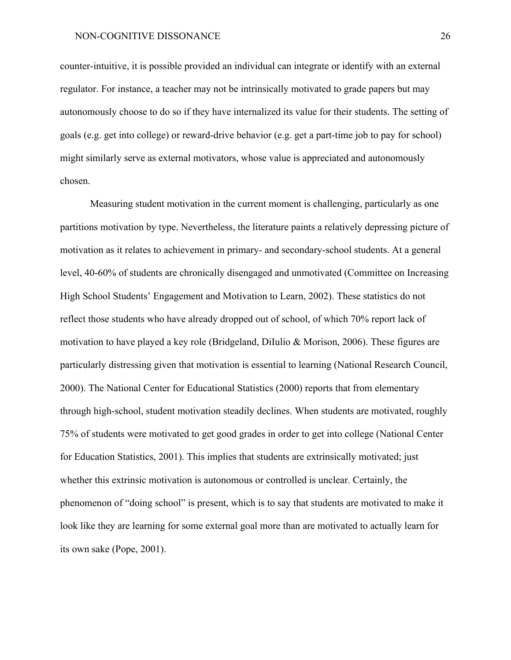counter-intuitive, it is possible provided an individual can integrate or identify with an external regulator. For instance, a teacher may not be intrinsically motivated to grade papers but may autonomously choose to do so if they have internalized its value for their students. The setting of goals (e.g. get into college) or reward-drive behavior (e.g. get a part-time job to pay for school) might similarly serve as external motivators, whose value is appreciated and autonomously chosen.

Measuring student motivation in the current moment is challenging, particularly as one partitions motivation by type. Nevertheless, the literature paints a relatively depressing picture of motivation as it relates to achievement in primary- and secondary-school students. At a general level, 40-60% of students are chronically disengaged and unmotivated (Committee on Increasing High School Students' Engagement and Motivation to Learn, 2002). These statistics do not reflect those students who have already dropped out of school, of which 70% report lack of motivation to have played a key role (Bridgeland, DiIulio & Morison, 2006). These figures are particularly distressing given that motivation is essential to learning (National Research Council, 2000). The National Center for Educational Statistics (2000) reports that from elementary through high-school, student motivation steadily declines. When students are motivated, roughly 75% of students were motivated to get good grades in order to get into college (National Center for Education Statistics, 2001). This implies that students are extrinsically motivated; just whether this extrinsic motivation is autonomous or controlled is unclear. Certainly, the phenomenon of "doing school" is present, which is to say that students are motivated to make it look like they are learning for some external goal more than are motivated to actually learn for its own sake (Pope, 2001).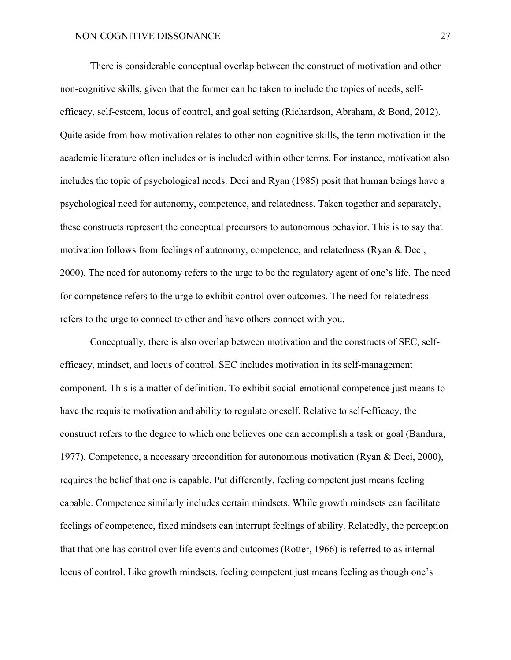There is considerable conceptual overlap between the construct of motivation and other non-cognitive skills, given that the former can be taken to include the topics of needs, selfefficacy, self-esteem, locus of control, and goal setting (Richardson, Abraham, & Bond, 2012). Quite aside from how motivation relates to other non-cognitive skills, the term motivation in the academic literature often includes or is included within other terms. For instance, motivation also includes the topic of psychological needs. Deci and Ryan (1985) posit that human beings have a psychological need for autonomy, competence, and relatedness. Taken together and separately, these constructs represent the conceptual precursors to autonomous behavior. This is to say that motivation follows from feelings of autonomy, competence, and relatedness (Ryan & Deci, 2000). The need for autonomy refers to the urge to be the regulatory agent of one's life. The need for competence refers to the urge to exhibit control over outcomes. The need for relatedness refers to the urge to connect to other and have others connect with you.

Conceptually, there is also overlap between motivation and the constructs of SEC, selfefficacy, mindset, and locus of control. SEC includes motivation in its self-management component. This is a matter of definition. To exhibit social-emotional competence just means to have the requisite motivation and ability to regulate oneself. Relative to self-efficacy, the construct refers to the degree to which one believes one can accomplish a task or goal (Bandura, 1977). Competence, a necessary precondition for autonomous motivation (Ryan & Deci, 2000), requires the belief that one is capable. Put differently, feeling competent just means feeling capable. Competence similarly includes certain mindsets. While growth mindsets can facilitate feelings of competence, fixed mindsets can interrupt feelings of ability. Relatedly, the perception that that one has control over life events and outcomes (Rotter, 1966) is referred to as internal locus of control. Like growth mindsets, feeling competent just means feeling as though one's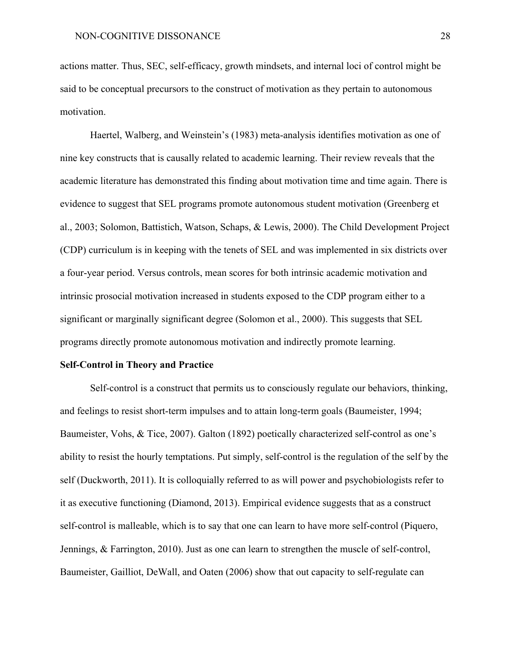actions matter. Thus, SEC, self-efficacy, growth mindsets, and internal loci of control might be said to be conceptual precursors to the construct of motivation as they pertain to autonomous motivation.

Haertel, Walberg, and Weinstein's (1983) meta-analysis identifies motivation as one of nine key constructs that is causally related to academic learning. Their review reveals that the academic literature has demonstrated this finding about motivation time and time again. There is evidence to suggest that SEL programs promote autonomous student motivation (Greenberg et al., 2003; Solomon, Battistich, Watson, Schaps, & Lewis, 2000). The Child Development Project (CDP) curriculum is in keeping with the tenets of SEL and was implemented in six districts over a four-year period. Versus controls, mean scores for both intrinsic academic motivation and intrinsic prosocial motivation increased in students exposed to the CDP program either to a significant or marginally significant degree (Solomon et al., 2000). This suggests that SEL programs directly promote autonomous motivation and indirectly promote learning.

#### **Self-Control in Theory and Practice**

Self-control is a construct that permits us to consciously regulate our behaviors, thinking, and feelings to resist short-term impulses and to attain long-term goals (Baumeister, 1994; Baumeister, Vohs, & Tice, 2007). Galton (1892) poetically characterized self-control as one's ability to resist the hourly temptations. Put simply, self-control is the regulation of the self by the self (Duckworth, 2011). It is colloquially referred to as will power and psychobiologists refer to it as executive functioning (Diamond, 2013). Empirical evidence suggests that as a construct self-control is malleable, which is to say that one can learn to have more self-control (Piquero, Jennings, & Farrington, 2010). Just as one can learn to strengthen the muscle of self-control, Baumeister, Gailliot, DeWall, and Oaten (2006) show that out capacity to self-regulate can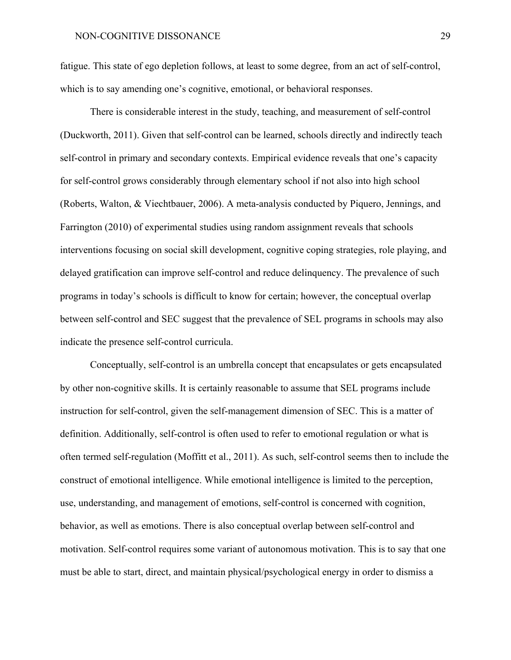fatigue. This state of ego depletion follows, at least to some degree, from an act of self-control, which is to say amending one's cognitive, emotional, or behavioral responses.

There is considerable interest in the study, teaching, and measurement of self-control (Duckworth, 2011). Given that self-control can be learned, schools directly and indirectly teach self-control in primary and secondary contexts. Empirical evidence reveals that one's capacity for self-control grows considerably through elementary school if not also into high school (Roberts, Walton, & Viechtbauer, 2006). A meta-analysis conducted by Piquero, Jennings, and Farrington (2010) of experimental studies using random assignment reveals that schools interventions focusing on social skill development, cognitive coping strategies, role playing, and delayed gratification can improve self-control and reduce delinquency. The prevalence of such programs in today's schools is difficult to know for certain; however, the conceptual overlap between self-control and SEC suggest that the prevalence of SEL programs in schools may also indicate the presence self-control curricula.

Conceptually, self-control is an umbrella concept that encapsulates or gets encapsulated by other non-cognitive skills. It is certainly reasonable to assume that SEL programs include instruction for self-control, given the self-management dimension of SEC. This is a matter of definition. Additionally, self-control is often used to refer to emotional regulation or what is often termed self-regulation (Moffitt et al., 2011). As such, self-control seems then to include the construct of emotional intelligence. While emotional intelligence is limited to the perception, use, understanding, and management of emotions, self-control is concerned with cognition, behavior, as well as emotions. There is also conceptual overlap between self-control and motivation. Self-control requires some variant of autonomous motivation. This is to say that one must be able to start, direct, and maintain physical/psychological energy in order to dismiss a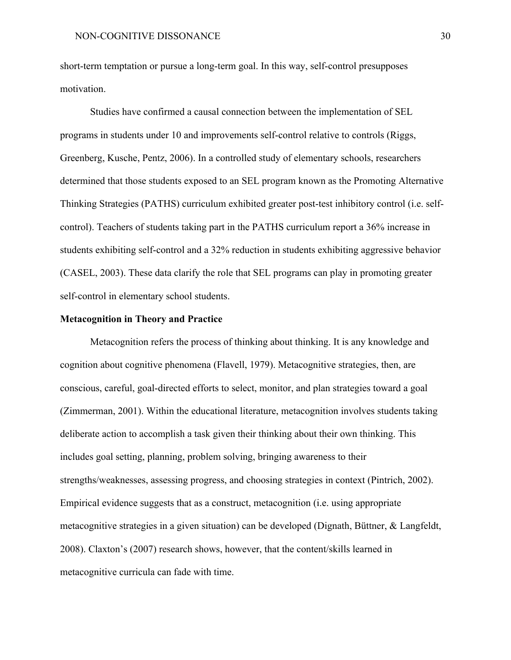short-term temptation or pursue a long-term goal. In this way, self-control presupposes motivation.

Studies have confirmed a causal connection between the implementation of SEL programs in students under 10 and improvements self-control relative to controls (Riggs, Greenberg, Kusche, Pentz, 2006). In a controlled study of elementary schools, researchers determined that those students exposed to an SEL program known as the Promoting Alternative Thinking Strategies (PATHS) curriculum exhibited greater post-test inhibitory control (i.e. selfcontrol). Teachers of students taking part in the PATHS curriculum report a 36% increase in students exhibiting self-control and a 32% reduction in students exhibiting aggressive behavior (CASEL, 2003). These data clarify the role that SEL programs can play in promoting greater self-control in elementary school students.

#### **Metacognition in Theory and Practice**

Metacognition refers the process of thinking about thinking. It is any knowledge and cognition about cognitive phenomena (Flavell, 1979). Metacognitive strategies, then, are conscious, careful, goal-directed efforts to select, monitor, and plan strategies toward a goal (Zimmerman, 2001). Within the educational literature, metacognition involves students taking deliberate action to accomplish a task given their thinking about their own thinking. This includes goal setting, planning, problem solving, bringing awareness to their strengths/weaknesses, assessing progress, and choosing strategies in context (Pintrich, 2002). Empirical evidence suggests that as a construct, metacognition (i.e. using appropriate metacognitive strategies in a given situation) can be developed (Dignath, Büttner, & Langfeldt, 2008). Claxton's (2007) research shows, however, that the content/skills learned in metacognitive curricula can fade with time.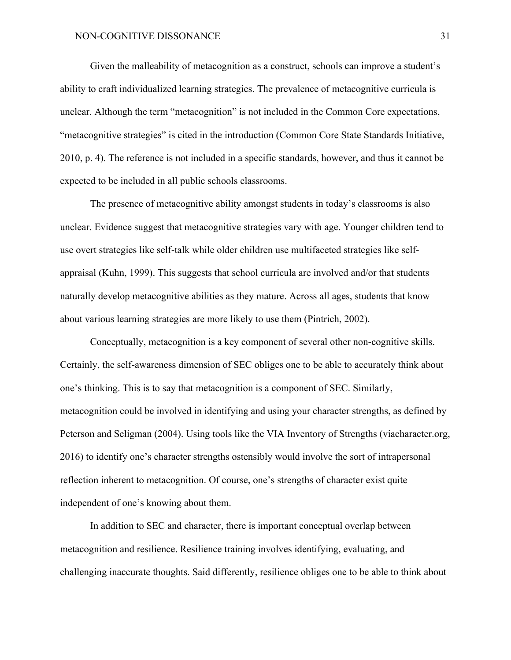Given the malleability of metacognition as a construct, schools can improve a student's ability to craft individualized learning strategies. The prevalence of metacognitive curricula is unclear. Although the term "metacognition" is not included in the Common Core expectations, "metacognitive strategies" is cited in the introduction (Common Core State Standards Initiative, 2010, p. 4). The reference is not included in a specific standards, however, and thus it cannot be expected to be included in all public schools classrooms.

The presence of metacognitive ability amongst students in today's classrooms is also unclear. Evidence suggest that metacognitive strategies vary with age. Younger children tend to use overt strategies like self-talk while older children use multifaceted strategies like selfappraisal (Kuhn, 1999). This suggests that school curricula are involved and/or that students naturally develop metacognitive abilities as they mature. Across all ages, students that know about various learning strategies are more likely to use them (Pintrich, 2002).

Conceptually, metacognition is a key component of several other non-cognitive skills. Certainly, the self-awareness dimension of SEC obliges one to be able to accurately think about one's thinking. This is to say that metacognition is a component of SEC. Similarly, metacognition could be involved in identifying and using your character strengths, as defined by Peterson and Seligman (2004). Using tools like the VIA Inventory of Strengths (viacharacter.org, 2016) to identify one's character strengths ostensibly would involve the sort of intrapersonal reflection inherent to metacognition. Of course, one's strengths of character exist quite independent of one's knowing about them.

In addition to SEC and character, there is important conceptual overlap between metacognition and resilience. Resilience training involves identifying, evaluating, and challenging inaccurate thoughts. Said differently, resilience obliges one to be able to think about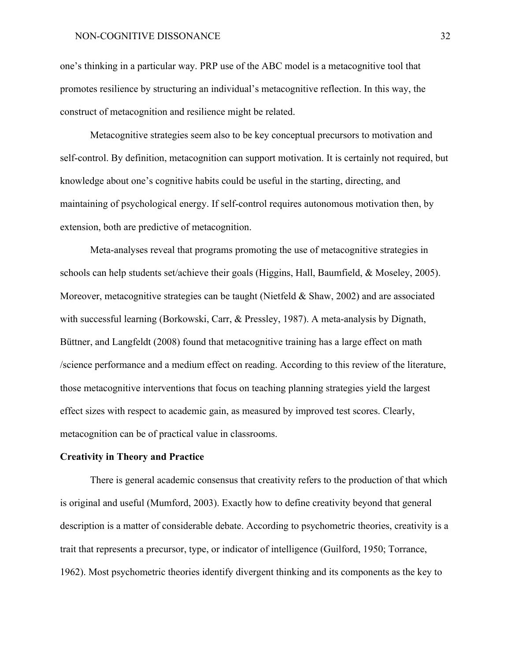one's thinking in a particular way. PRP use of the ABC model is a metacognitive tool that promotes resilience by structuring an individual's metacognitive reflection. In this way, the construct of metacognition and resilience might be related.

Metacognitive strategies seem also to be key conceptual precursors to motivation and self-control. By definition, metacognition can support motivation. It is certainly not required, but knowledge about one's cognitive habits could be useful in the starting, directing, and maintaining of psychological energy. If self-control requires autonomous motivation then, by extension, both are predictive of metacognition.

Meta-analyses reveal that programs promoting the use of metacognitive strategies in schools can help students set/achieve their goals (Higgins, Hall, Baumfield, & Moseley, 2005). Moreover, metacognitive strategies can be taught (Nietfeld & Shaw, 2002) and are associated with successful learning (Borkowski, Carr, & Pressley, 1987). A meta-analysis by Dignath, Büttner, and Langfeldt (2008) found that metacognitive training has a large effect on math /science performance and a medium effect on reading. According to this review of the literature, those metacognitive interventions that focus on teaching planning strategies yield the largest effect sizes with respect to academic gain, as measured by improved test scores. Clearly, metacognition can be of practical value in classrooms.

#### **Creativity in Theory and Practice**

There is general academic consensus that creativity refers to the production of that which is original and useful (Mumford, 2003). Exactly how to define creativity beyond that general description is a matter of considerable debate. According to psychometric theories, creativity is a trait that represents a precursor, type, or indicator of intelligence (Guilford, 1950; Torrance, 1962). Most psychometric theories identify divergent thinking and its components as the key to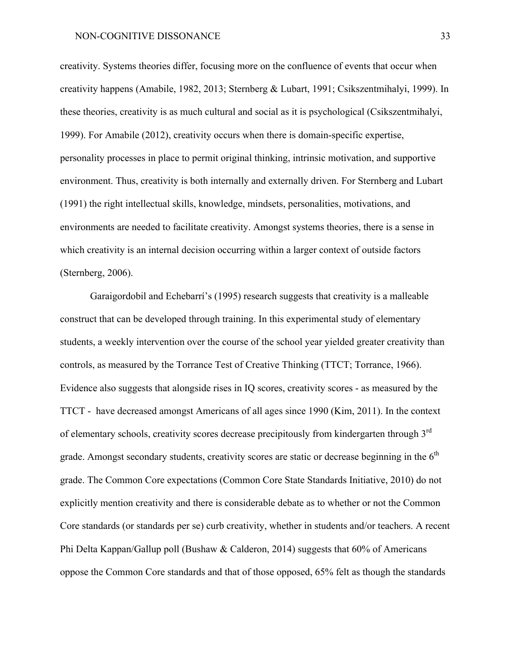creativity. Systems theories differ, focusing more on the confluence of events that occur when creativity happens (Amabile, 1982, 2013; Sternberg & Lubart, 1991; Csikszentmihalyi, 1999). In these theories, creativity is as much cultural and social as it is psychological (Csikszentmihalyi, 1999). For Amabile (2012), creativity occurs when there is domain-specific expertise, personality processes in place to permit original thinking, intrinsic motivation, and supportive environment. Thus, creativity is both internally and externally driven. For Sternberg and Lubart (1991) the right intellectual skills, knowledge, mindsets, personalities, motivations, and environments are needed to facilitate creativity. Amongst systems theories, there is a sense in which creativity is an internal decision occurring within a larger context of outside factors (Sternberg, 2006).

Garaigordobil and Echebarrí's (1995) research suggests that creativity is a malleable construct that can be developed through training. In this experimental study of elementary students, a weekly intervention over the course of the school year yielded greater creativity than controls, as measured by the Torrance Test of Creative Thinking (TTCT; Torrance, 1966). Evidence also suggests that alongside rises in IQ scores, creativity scores - as measured by the TTCT - have decreased amongst Americans of all ages since 1990 (Kim, 2011). In the context of elementary schools, creativity scores decrease precipitously from kindergarten through 3<sup>rd</sup> grade. Amongst secondary students, creativity scores are static or decrease beginning in the  $6<sup>th</sup>$ grade. The Common Core expectations (Common Core State Standards Initiative, 2010) do not explicitly mention creativity and there is considerable debate as to whether or not the Common Core standards (or standards per se) curb creativity, whether in students and/or teachers. A recent Phi Delta Kappan/Gallup poll (Bushaw & Calderon, 2014) suggests that 60% of Americans oppose the Common Core standards and that of those opposed, 65% felt as though the standards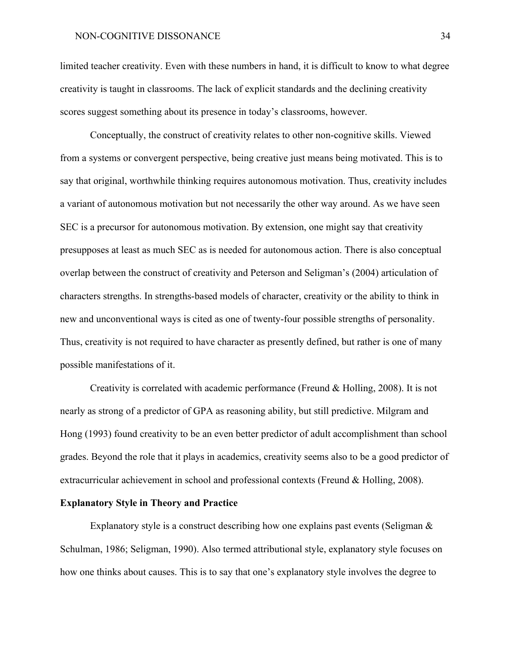#### NON-COGNITIVE DISSONANCE 34

limited teacher creativity. Even with these numbers in hand, it is difficult to know to what degree creativity is taught in classrooms. The lack of explicit standards and the declining creativity scores suggest something about its presence in today's classrooms, however.

Conceptually, the construct of creativity relates to other non-cognitive skills. Viewed from a systems or convergent perspective, being creative just means being motivated. This is to say that original, worthwhile thinking requires autonomous motivation. Thus, creativity includes a variant of autonomous motivation but not necessarily the other way around. As we have seen SEC is a precursor for autonomous motivation. By extension, one might say that creativity presupposes at least as much SEC as is needed for autonomous action. There is also conceptual overlap between the construct of creativity and Peterson and Seligman's (2004) articulation of characters strengths. In strengths-based models of character, creativity or the ability to think in new and unconventional ways is cited as one of twenty-four possible strengths of personality. Thus, creativity is not required to have character as presently defined, but rather is one of many possible manifestations of it.

Creativity is correlated with academic performance (Freund & Holling, 2008). It is not nearly as strong of a predictor of GPA as reasoning ability, but still predictive. Milgram and Hong (1993) found creativity to be an even better predictor of adult accomplishment than school grades. Beyond the role that it plays in academics, creativity seems also to be a good predictor of extracurricular achievement in school and professional contexts (Freund & Holling, 2008).

#### **Explanatory Style in Theory and Practice**

Explanatory style is a construct describing how one explains past events (Seligman  $\&$ Schulman, 1986; Seligman, 1990). Also termed attributional style, explanatory style focuses on how one thinks about causes. This is to say that one's explanatory style involves the degree to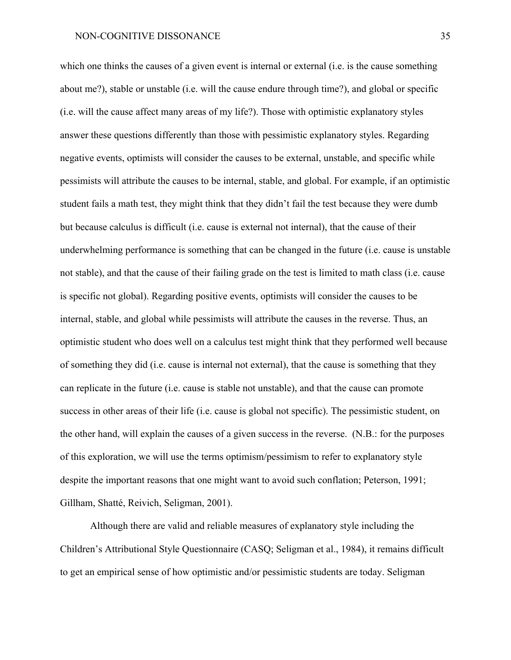which one thinks the causes of a given event is internal or external (i.e. is the cause something about me?), stable or unstable (i.e. will the cause endure through time?), and global or specific (i.e. will the cause affect many areas of my life?). Those with optimistic explanatory styles answer these questions differently than those with pessimistic explanatory styles. Regarding negative events, optimists will consider the causes to be external, unstable, and specific while pessimists will attribute the causes to be internal, stable, and global. For example, if an optimistic student fails a math test, they might think that they didn't fail the test because they were dumb but because calculus is difficult (i.e. cause is external not internal), that the cause of their underwhelming performance is something that can be changed in the future (i.e. cause is unstable not stable), and that the cause of their failing grade on the test is limited to math class (i.e. cause is specific not global). Regarding positive events, optimists will consider the causes to be internal, stable, and global while pessimists will attribute the causes in the reverse. Thus, an optimistic student who does well on a calculus test might think that they performed well because of something they did (i.e. cause is internal not external), that the cause is something that they can replicate in the future (i.e. cause is stable not unstable), and that the cause can promote success in other areas of their life (i.e. cause is global not specific). The pessimistic student, on the other hand, will explain the causes of a given success in the reverse. (N.B.: for the purposes of this exploration, we will use the terms optimism/pessimism to refer to explanatory style despite the important reasons that one might want to avoid such conflation; Peterson, 1991; Gillham, Shatté, Reivich, Seligman, 2001).

Although there are valid and reliable measures of explanatory style including the Children's Attributional Style Questionnaire (CASQ; Seligman et al., 1984), it remains difficult to get an empirical sense of how optimistic and/or pessimistic students are today. Seligman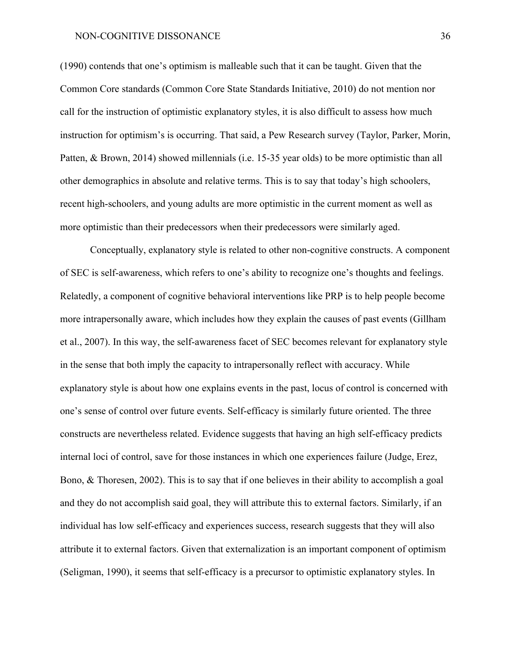#### NON-COGNITIVE DISSONANCE 36

(1990) contends that one's optimism is malleable such that it can be taught. Given that the Common Core standards (Common Core State Standards Initiative, 2010) do not mention nor call for the instruction of optimistic explanatory styles, it is also difficult to assess how much instruction for optimism's is occurring. That said, a Pew Research survey (Taylor, Parker, Morin, Patten, & Brown, 2014) showed millennials (i.e. 15-35 year olds) to be more optimistic than all other demographics in absolute and relative terms. This is to say that today's high schoolers, recent high-schoolers, and young adults are more optimistic in the current moment as well as more optimistic than their predecessors when their predecessors were similarly aged.

Conceptually, explanatory style is related to other non-cognitive constructs. A component of SEC is self-awareness, which refers to one's ability to recognize one's thoughts and feelings. Relatedly, a component of cognitive behavioral interventions like PRP is to help people become more intrapersonally aware, which includes how they explain the causes of past events (Gillham et al., 2007). In this way, the self-awareness facet of SEC becomes relevant for explanatory style in the sense that both imply the capacity to intrapersonally reflect with accuracy. While explanatory style is about how one explains events in the past, locus of control is concerned with one's sense of control over future events. Self-efficacy is similarly future oriented. The three constructs are nevertheless related. Evidence suggests that having an high self-efficacy predicts internal loci of control, save for those instances in which one experiences failure (Judge, Erez, Bono, & Thoresen, 2002). This is to say that if one believes in their ability to accomplish a goal and they do not accomplish said goal, they will attribute this to external factors. Similarly, if an individual has low self-efficacy and experiences success, research suggests that they will also attribute it to external factors. Given that externalization is an important component of optimism (Seligman, 1990), it seems that self-efficacy is a precursor to optimistic explanatory styles. In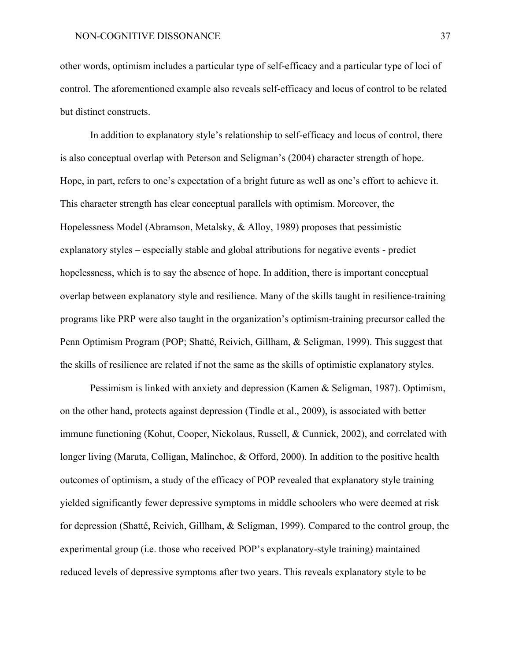other words, optimism includes a particular type of self-efficacy and a particular type of loci of control. The aforementioned example also reveals self-efficacy and locus of control to be related but distinct constructs.

In addition to explanatory style's relationship to self-efficacy and locus of control, there is also conceptual overlap with Peterson and Seligman's (2004) character strength of hope. Hope, in part, refers to one's expectation of a bright future as well as one's effort to achieve it. This character strength has clear conceptual parallels with optimism. Moreover, the Hopelessness Model (Abramson, Metalsky, & Alloy, 1989) proposes that pessimistic explanatory styles – especially stable and global attributions for negative events - predict hopelessness, which is to say the absence of hope. In addition, there is important conceptual overlap between explanatory style and resilience. Many of the skills taught in resilience-training programs like PRP were also taught in the organization's optimism-training precursor called the Penn Optimism Program (POP; Shatté, Reivich, Gillham, & Seligman, 1999). This suggest that the skills of resilience are related if not the same as the skills of optimistic explanatory styles.

Pessimism is linked with anxiety and depression (Kamen & Seligman, 1987). Optimism, on the other hand, protects against depression (Tindle et al., 2009), is associated with better immune functioning (Kohut, Cooper, Nickolaus, Russell, & Cunnick, 2002), and correlated with longer living (Maruta, Colligan, Malinchoc, & Offord, 2000). In addition to the positive health outcomes of optimism, a study of the efficacy of POP revealed that explanatory style training yielded significantly fewer depressive symptoms in middle schoolers who were deemed at risk for depression (Shatté, Reivich, Gillham, & Seligman, 1999). Compared to the control group, the experimental group (i.e. those who received POP's explanatory-style training) maintained reduced levels of depressive symptoms after two years. This reveals explanatory style to be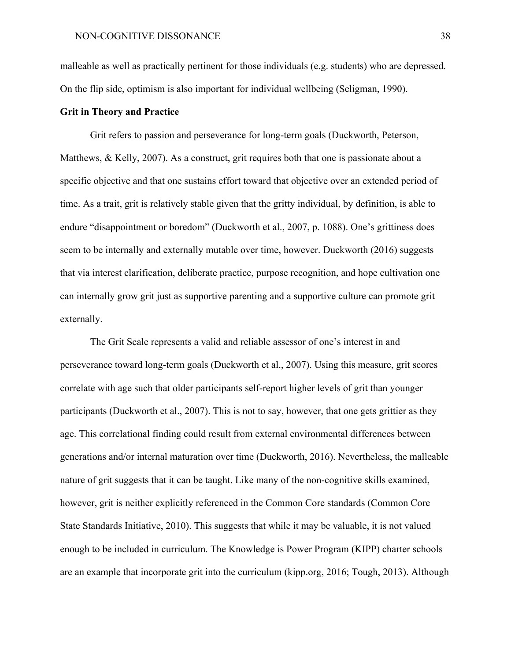malleable as well as practically pertinent for those individuals (e.g. students) who are depressed. On the flip side, optimism is also important for individual wellbeing (Seligman, 1990).

#### **Grit in Theory and Practice**

Grit refers to passion and perseverance for long-term goals (Duckworth, Peterson, Matthews, & Kelly, 2007). As a construct, grit requires both that one is passionate about a specific objective and that one sustains effort toward that objective over an extended period of time. As a trait, grit is relatively stable given that the gritty individual, by definition, is able to endure "disappointment or boredom" (Duckworth et al., 2007, p. 1088). One's grittiness does seem to be internally and externally mutable over time, however. Duckworth (2016) suggests that via interest clarification, deliberate practice, purpose recognition, and hope cultivation one can internally grow grit just as supportive parenting and a supportive culture can promote grit externally.

The Grit Scale represents a valid and reliable assessor of one's interest in and perseverance toward long-term goals (Duckworth et al., 2007). Using this measure, grit scores correlate with age such that older participants self-report higher levels of grit than younger participants (Duckworth et al., 2007). This is not to say, however, that one gets grittier as they age. This correlational finding could result from external environmental differences between generations and/or internal maturation over time (Duckworth, 2016). Nevertheless, the malleable nature of grit suggests that it can be taught. Like many of the non-cognitive skills examined, however, grit is neither explicitly referenced in the Common Core standards (Common Core State Standards Initiative, 2010). This suggests that while it may be valuable, it is not valued enough to be included in curriculum. The Knowledge is Power Program (KIPP) charter schools are an example that incorporate grit into the curriculum (kipp.org, 2016; Tough, 2013). Although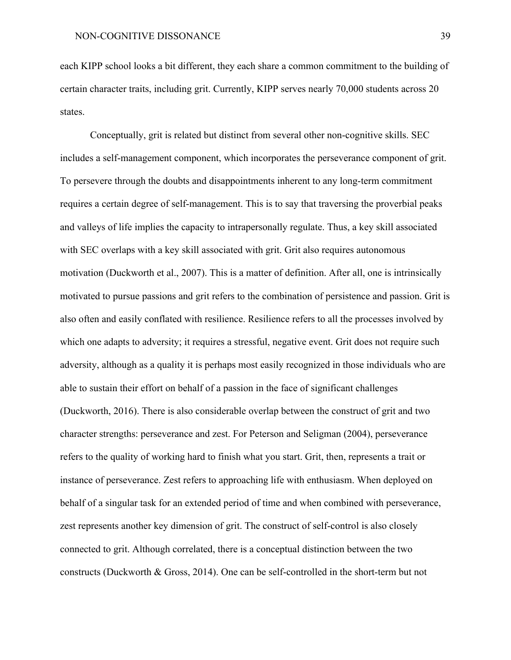each KIPP school looks a bit different, they each share a common commitment to the building of certain character traits, including grit. Currently, KIPP serves nearly 70,000 students across 20 states.

Conceptually, grit is related but distinct from several other non-cognitive skills. SEC includes a self-management component, which incorporates the perseverance component of grit. To persevere through the doubts and disappointments inherent to any long-term commitment requires a certain degree of self-management. This is to say that traversing the proverbial peaks and valleys of life implies the capacity to intrapersonally regulate. Thus, a key skill associated with SEC overlaps with a key skill associated with grit. Grit also requires autonomous motivation (Duckworth et al., 2007). This is a matter of definition. After all, one is intrinsically motivated to pursue passions and grit refers to the combination of persistence and passion. Grit is also often and easily conflated with resilience. Resilience refers to all the processes involved by which one adapts to adversity; it requires a stressful, negative event. Grit does not require such adversity, although as a quality it is perhaps most easily recognized in those individuals who are able to sustain their effort on behalf of a passion in the face of significant challenges (Duckworth, 2016). There is also considerable overlap between the construct of grit and two character strengths: perseverance and zest. For Peterson and Seligman (2004), perseverance refers to the quality of working hard to finish what you start. Grit, then, represents a trait or instance of perseverance. Zest refers to approaching life with enthusiasm. When deployed on behalf of a singular task for an extended period of time and when combined with perseverance, zest represents another key dimension of grit. The construct of self-control is also closely connected to grit. Although correlated, there is a conceptual distinction between the two constructs (Duckworth & Gross, 2014). One can be self-controlled in the short-term but not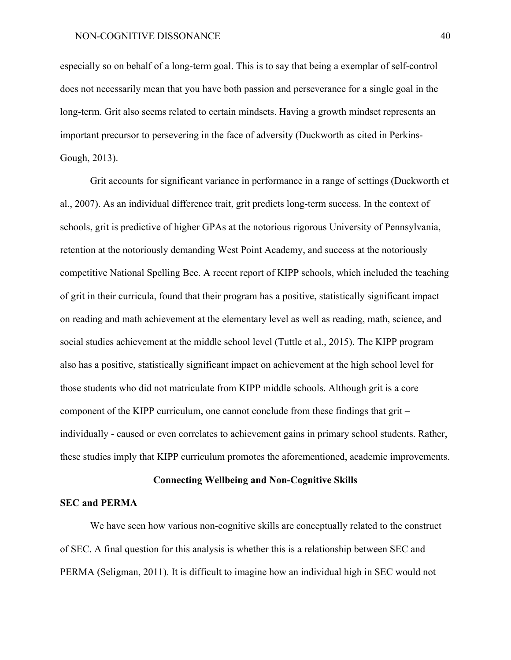especially so on behalf of a long-term goal. This is to say that being a exemplar of self-control does not necessarily mean that you have both passion and perseverance for a single goal in the long-term. Grit also seems related to certain mindsets. Having a growth mindset represents an important precursor to persevering in the face of adversity (Duckworth as cited in Perkins-Gough, 2013).

Grit accounts for significant variance in performance in a range of settings (Duckworth et al., 2007). As an individual difference trait, grit predicts long-term success. In the context of schools, grit is predictive of higher GPAs at the notorious rigorous University of Pennsylvania, retention at the notoriously demanding West Point Academy, and success at the notoriously competitive National Spelling Bee. A recent report of KIPP schools, which included the teaching of grit in their curricula, found that their program has a positive, statistically significant impact on reading and math achievement at the elementary level as well as reading, math, science, and social studies achievement at the middle school level (Tuttle et al., 2015). The KIPP program also has a positive, statistically significant impact on achievement at the high school level for those students who did not matriculate from KIPP middle schools. Although grit is a core component of the KIPP curriculum, one cannot conclude from these findings that grit – individually - caused or even correlates to achievement gains in primary school students. Rather, these studies imply that KIPP curriculum promotes the aforementioned, academic improvements.

#### **Connecting Wellbeing and Non-Cognitive Skills**

#### **SEC and PERMA**

We have seen how various non-cognitive skills are conceptually related to the construct of SEC. A final question for this analysis is whether this is a relationship between SEC and PERMA (Seligman, 2011). It is difficult to imagine how an individual high in SEC would not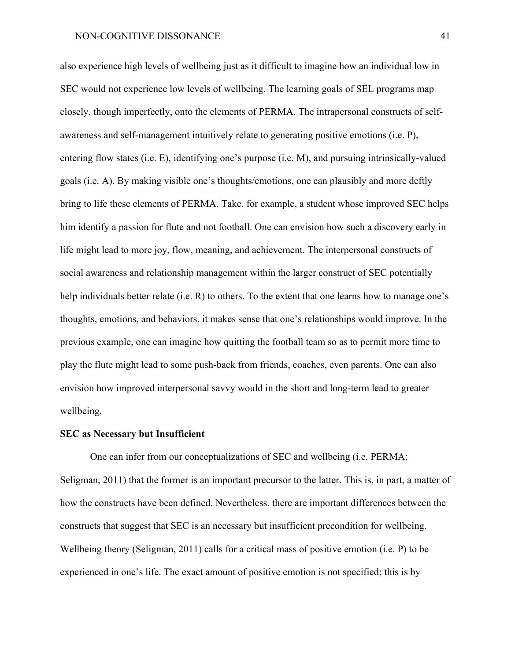also experience high levels of wellbeing just as it difficult to imagine how an individual low in SEC would not experience low levels of wellbeing. The learning goals of SEL programs map closely, though imperfectly, onto the elements of PERMA. The intrapersonal constructs of selfawareness and self-management intuitively relate to generating positive emotions (i.e. P), entering flow states (i.e. E), identifying one's purpose (i.e. M), and pursuing intrinsically-valued goals (i.e. A). By making visible one's thoughts/emotions, one can plausibly and more deftly bring to life these elements of PERMA. Take, for example, a student whose improved SEC helps him identify a passion for flute and not football. One can envision how such a discovery early in life might lead to more joy, flow, meaning, and achievement. The interpersonal constructs of social awareness and relationship management within the larger construct of SEC potentially help individuals better relate (i.e. R) to others. To the extent that one learns how to manage one's thoughts, emotions, and behaviors, it makes sense that one's relationships would improve. In the previous example, one can imagine how quitting the football team so as to permit more time to play the flute might lead to some push-back from friends, coaches, even parents. One can also envision how improved interpersonal savvy would in the short and long-term lead to greater wellbeing.

#### **SEC as Necessary but Insufficient**

One can infer from our conceptualizations of SEC and wellbeing (i.e. PERMA; Seligman, 2011) that the former is an important precursor to the latter. This is, in part, a matter of how the constructs have been defined. Nevertheless, there are important differences between the constructs that suggest that SEC is an necessary but insufficient precondition for wellbeing. Wellbeing theory (Seligman, 2011) calls for a critical mass of positive emotion (i.e. P) to be experienced in one's life. The exact amount of positive emotion is not specified; this is by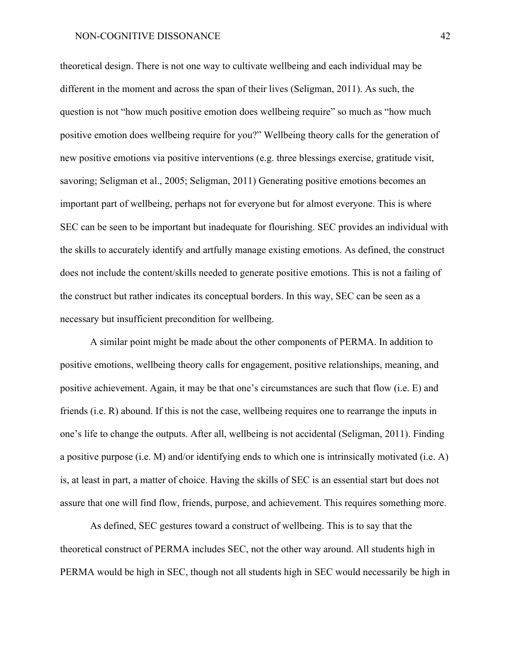theoretical design. There is not one way to cultivate wellbeing and each individual may be different in the moment and across the span of their lives (Seligman, 2011). As such, the question is not "how much positive emotion does wellbeing require" so much as "how much positive emotion does wellbeing require for you?" Wellbeing theory calls for the generation of new positive emotions via positive interventions (e.g. three blessings exercise, gratitude visit, savoring; Seligman et al., 2005; Seligman, 2011) Generating positive emotions becomes an important part of wellbeing, perhaps not for everyone but for almost everyone. This is where SEC can be seen to be important but inadequate for flourishing. SEC provides an individual with the skills to accurately identify and artfully manage existing emotions. As defined, the construct does not include the content/skills needed to generate positive emotions. This is not a failing of the construct but rather indicates its conceptual borders. In this way, SEC can be seen as a necessary but insufficient precondition for wellbeing.

A similar point might be made about the other components of PERMA. In addition to positive emotions, wellbeing theory calls for engagement, positive relationships, meaning, and positive achievement. Again, it may be that one's circumstances are such that flow (i.e. E) and friends (i.e. R) abound. If this is not the case, wellbeing requires one to rearrange the inputs in one's life to change the outputs. After all, wellbeing is not accidental (Seligman, 2011). Finding a positive purpose (i.e. M) and/or identifying ends to which one is intrinsically motivated (i.e. A) is, at least in part, a matter of choice. Having the skills of SEC is an essential start but does not assure that one will find flow, friends, purpose, and achievement. This requires something more.

As defined, SEC gestures toward a construct of wellbeing. This is to say that the theoretical construct of PERMA includes SEC, not the other way around. All students high in PERMA would be high in SEC, though not all students high in SEC would necessarily be high in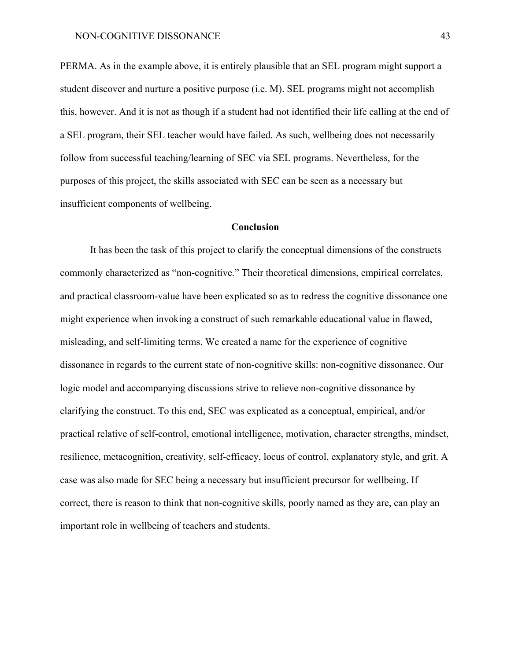PERMA. As in the example above, it is entirely plausible that an SEL program might support a student discover and nurture a positive purpose (i.e. M). SEL programs might not accomplish this, however. And it is not as though if a student had not identified their life calling at the end of a SEL program, their SEL teacher would have failed. As such, wellbeing does not necessarily follow from successful teaching/learning of SEC via SEL programs. Nevertheless, for the purposes of this project, the skills associated with SEC can be seen as a necessary but insufficient components of wellbeing.

#### **Conclusion**

It has been the task of this project to clarify the conceptual dimensions of the constructs commonly characterized as "non-cognitive." Their theoretical dimensions, empirical correlates, and practical classroom-value have been explicated so as to redress the cognitive dissonance one might experience when invoking a construct of such remarkable educational value in flawed, misleading, and self-limiting terms. We created a name for the experience of cognitive dissonance in regards to the current state of non-cognitive skills: non-cognitive dissonance. Our logic model and accompanying discussions strive to relieve non-cognitive dissonance by clarifying the construct. To this end, SEC was explicated as a conceptual, empirical, and/or practical relative of self-control, emotional intelligence, motivation, character strengths, mindset, resilience, metacognition, creativity, self-efficacy, locus of control, explanatory style, and grit. A case was also made for SEC being a necessary but insufficient precursor for wellbeing. If correct, there is reason to think that non-cognitive skills, poorly named as they are, can play an important role in wellbeing of teachers and students.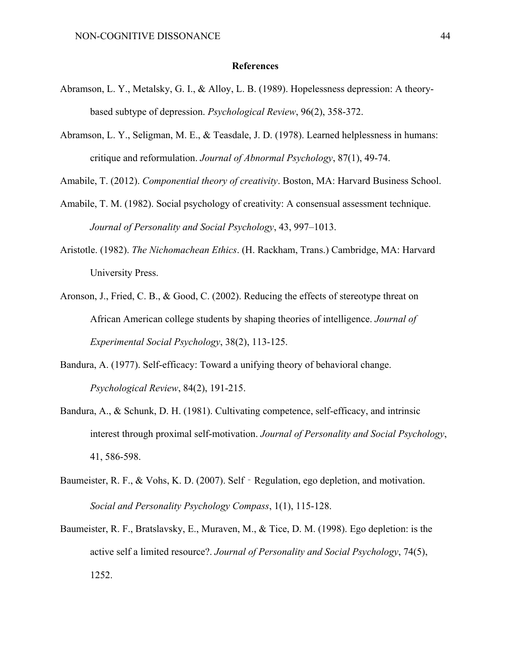#### **References**

- Abramson, L. Y., Metalsky, G. I., & Alloy, L. B. (1989). Hopelessness depression: A theorybased subtype of depression. *Psychological Review*, 96(2), 358-372.
- Abramson, L. Y., Seligman, M. E., & Teasdale, J. D. (1978). Learned helplessness in humans: critique and reformulation. *Journal of Abnormal Psychology*, 87(1), 49-74.

Amabile, T. (2012). *Componential theory of creativity*. Boston, MA: Harvard Business School.

- Amabile, T. M. (1982). Social psychology of creativity: A consensual assessment technique. *Journal of Personality and Social Psychology*, 43, 997–1013.
- Aristotle. (1982). *The Nichomachean Ethics*. (H. Rackham, Trans.) Cambridge, MA: Harvard University Press.
- Aronson, J., Fried, C. B., & Good, C. (2002). Reducing the effects of stereotype threat on African American college students by shaping theories of intelligence. *Journal of Experimental Social Psychology*, 38(2), 113-125.
- Bandura, A. (1977). Self-efficacy: Toward a unifying theory of behavioral change. *Psychological Review*, 84(2), 191-215.
- Bandura, A., & Schunk, D. H. (1981). Cultivating competence, self-efficacy, and intrinsic interest through proximal self-motivation. *Journal of Personality and Social Psychology*, 41, 586-598.
- Baumeister, R. F., & Vohs, K. D. (2007). Self Regulation, ego depletion, and motivation. *Social and Personality Psychology Compass*, 1(1), 115-128.
- Baumeister, R. F., Bratslavsky, E., Muraven, M., & Tice, D. M. (1998). Ego depletion: is the active self a limited resource?. *Journal of Personality and Social Psychology*, 74(5), 1252.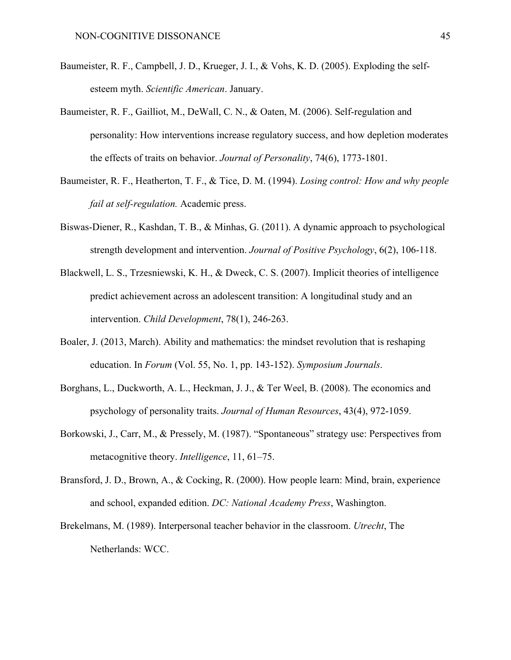- Baumeister, R. F., Campbell, J. D., Krueger, J. I., & Vohs, K. D. (2005). Exploding the selfesteem myth. *Scientific American*. January.
- Baumeister, R. F., Gailliot, M., DeWall, C. N., & Oaten, M. (2006). Self-regulation and personality: How interventions increase regulatory success, and how depletion moderates the effects of traits on behavior. *Journal of Personality*, 74(6), 1773-1801.
- Baumeister, R. F., Heatherton, T. F., & Tice, D. M. (1994). *Losing control: How and why people fail at self-regulation.* Academic press.
- Biswas-Diener, R., Kashdan, T. B., & Minhas, G. (2011). A dynamic approach to psychological strength development and intervention. *Journal of Positive Psychology*, 6(2), 106-118.
- Blackwell, L. S., Trzesniewski, K. H., & Dweck, C. S. (2007). Implicit theories of intelligence predict achievement across an adolescent transition: A longitudinal study and an intervention. *Child Development*, 78(1), 246-263.
- Boaler, J. (2013, March). Ability and mathematics: the mindset revolution that is reshaping education. In *Forum* (Vol. 55, No. 1, pp. 143-152). *Symposium Journals*.
- Borghans, L., Duckworth, A. L., Heckman, J. J., & Ter Weel, B. (2008). The economics and psychology of personality traits. *Journal of Human Resources*, 43(4), 972-1059.
- Borkowski, J., Carr, M., & Pressely, M. (1987). "Spontaneous" strategy use: Perspectives from metacognitive theory. *Intelligence*, 11, 61–75.
- Bransford, J. D., Brown, A., & Cocking, R. (2000). How people learn: Mind, brain, experience and school, expanded edition. *DC: National Academy Press*, Washington.
- Brekelmans, M. (1989). Interpersonal teacher behavior in the classroom. *Utrecht*, The Netherlands: WCC.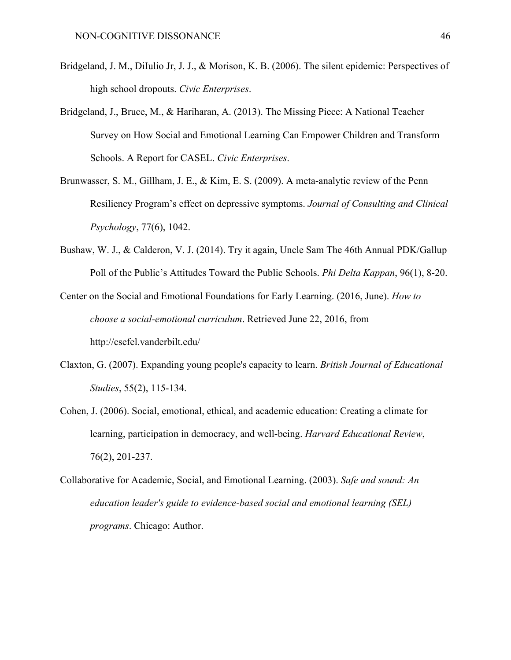- Bridgeland, J. M., DiIulio Jr, J. J., & Morison, K. B. (2006). The silent epidemic: Perspectives of high school dropouts. *Civic Enterprises*.
- Bridgeland, J., Bruce, M., & Hariharan, A. (2013). The Missing Piece: A National Teacher Survey on How Social and Emotional Learning Can Empower Children and Transform Schools. A Report for CASEL. *Civic Enterprises*.
- Brunwasser, S. M., Gillham, J. E., & Kim, E. S. (2009). A meta-analytic review of the Penn Resiliency Program's effect on depressive symptoms. *Journal of Consulting and Clinical Psychology*, 77(6), 1042.
- Bushaw, W. J., & Calderon, V. J. (2014). Try it again, Uncle Sam The 46th Annual PDK/Gallup Poll of the Public's Attitudes Toward the Public Schools. *Phi Delta Kappan*, 96(1), 8-20.
- Center on the Social and Emotional Foundations for Early Learning. (2016, June). *How to choose a social-emotional curriculum*. Retrieved June 22, 2016, from http://csefel.vanderbilt.edu/
- Claxton, G. (2007). Expanding young people's capacity to learn. *British Journal of Educational Studies*, 55(2), 115-134.
- Cohen, J. (2006). Social, emotional, ethical, and academic education: Creating a climate for learning, participation in democracy, and well-being. *Harvard Educational Review*, 76(2), 201-237.
- Collaborative for Academic, Social, and Emotional Learning. (2003). *Safe and sound: An education leader's guide to evidence-based social and emotional learning (SEL) programs*. Chicago: Author.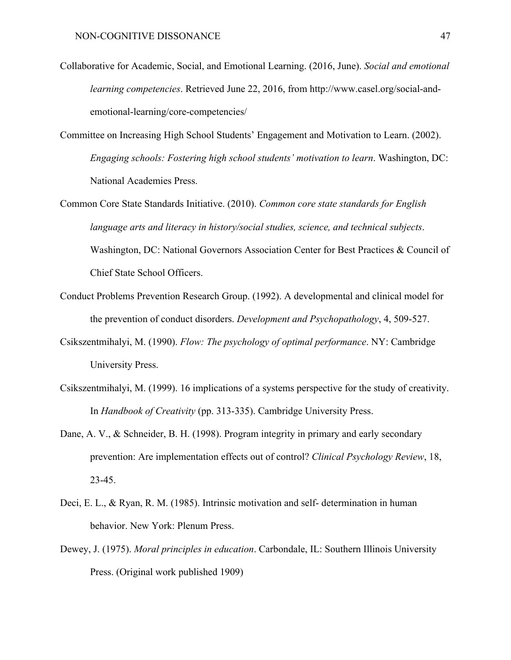- Collaborative for Academic, Social, and Emotional Learning. (2016, June). *Social and emotional learning competencies*. Retrieved June 22, 2016, from http://www.casel.org/social-andemotional-learning/core-competencies/
- Committee on Increasing High School Students' Engagement and Motivation to Learn. (2002). *Engaging schools: Fostering high school students' motivation to learn*. Washington, DC: National Academies Press.
- Common Core State Standards Initiative. (2010). *Common core state standards for English language arts and literacy in history/social studies, science, and technical subjects*. Washington, DC: National Governors Association Center for Best Practices & Council of Chief State School Officers.
- Conduct Problems Prevention Research Group. (1992). A developmental and clinical model for the prevention of conduct disorders. *Development and Psychopathology*, 4, 509-527.
- Csikszentmihalyi, M. (1990). *Flow: The psychology of optimal performance*. NY: Cambridge University Press.
- Csikszentmihalyi, M. (1999). 16 implications of a systems perspective for the study of creativity. In *Handbook of Creativity* (pp. 313-335). Cambridge University Press.
- Dane, A. V., & Schneider, B. H. (1998). Program integrity in primary and early secondary prevention: Are implementation effects out of control? *Clinical Psychology Review*, 18, 23-45.
- Deci, E. L., & Ryan, R. M. (1985). Intrinsic motivation and self- determination in human behavior. New York: Plenum Press.
- Dewey, J. (1975). *Moral principles in education*. Carbondale, IL: Southern Illinois University Press. (Original work published 1909)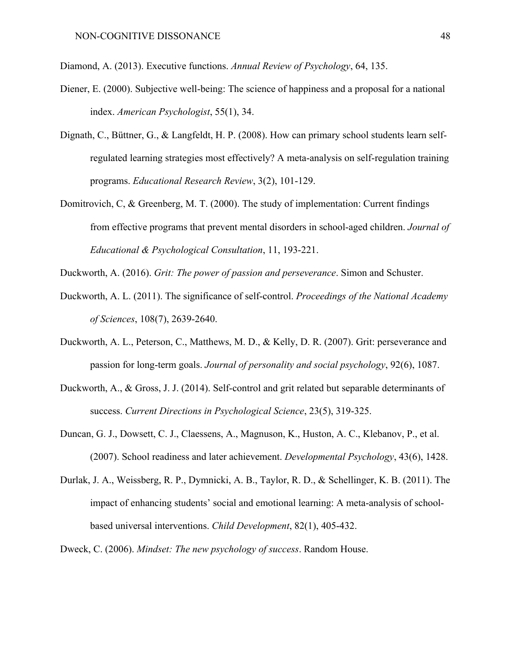- Diamond, A. (2013). Executive functions. *Annual Review of Psychology*, 64, 135.
- Diener, E. (2000). Subjective well-being: The science of happiness and a proposal for a national index. *American Psychologist*, 55(1), 34.
- Dignath, C., Büttner, G., & Langfeldt, H. P. (2008). How can primary school students learn selfregulated learning strategies most effectively? A meta-analysis on self-regulation training programs. *Educational Research Review*, 3(2), 101-129.
- Domitrovich, C, & Greenberg, M. T. (2000). The study of implementation: Current findings from effective programs that prevent mental disorders in school-aged children. *Journal of Educational & Psychological Consultation*, 11, 193-221.
- Duckworth, A. (2016). *Grit: The power of passion and perseverance*. Simon and Schuster.
- Duckworth, A. L. (2011). The significance of self-control. *Proceedings of the National Academy of Sciences*, 108(7), 2639-2640.
- Duckworth, A. L., Peterson, C., Matthews, M. D., & Kelly, D. R. (2007). Grit: perseverance and passion for long-term goals. *Journal of personality and social psychology*, 92(6), 1087.
- Duckworth, A., & Gross, J. J. (2014). Self-control and grit related but separable determinants of success. *Current Directions in Psychological Science*, 23(5), 319-325.
- Duncan, G. J., Dowsett, C. J., Claessens, A., Magnuson, K., Huston, A. C., Klebanov, P., et al. (2007). School readiness and later achievement. *Developmental Psychology*, 43(6), 1428.
- Durlak, J. A., Weissberg, R. P., Dymnicki, A. B., Taylor, R. D., & Schellinger, K. B. (2011). The impact of enhancing students' social and emotional learning: A meta-analysis of schoolbased universal interventions. *Child Development*, 82(1), 405-432.
- Dweck, C. (2006). *Mindset: The new psychology of success*. Random House.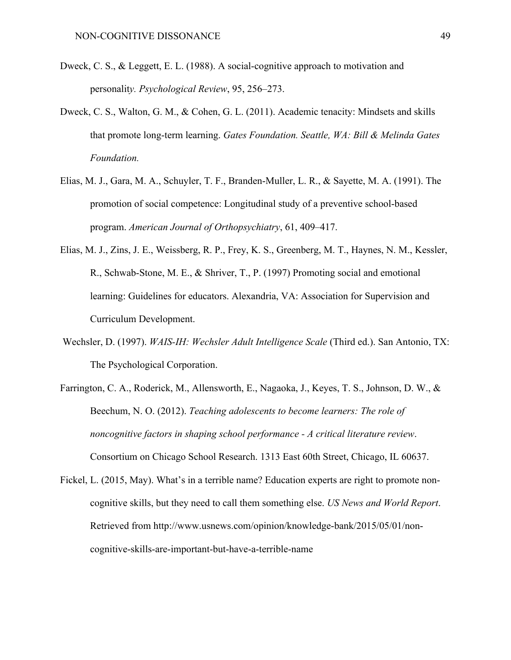- Dweck, C. S., & Leggett, E. L. (1988). A social-cognitive approach to motivation and personalit*y. Psychological Review*, 95, 256–273.
- Dweck, C. S., Walton, G. M., & Cohen, G. L. (2011). Academic tenacity: Mindsets and skills that promote long-term learning. *Gates Foundation. Seattle, WA: Bill & Melinda Gates Foundation.*
- Elias, M. J., Gara, M. A., Schuyler, T. F., Branden-Muller, L. R., & Sayette, M. A. (1991). The promotion of social competence: Longitudinal study of a preventive school-based program. *American Journal of Orthopsychiatry*, 61, 409–417.
- Elias, M. J., Zins, J. E., Weissberg, R. P., Frey, K. S., Greenberg, M. T., Haynes, N. M., Kessler, R., Schwab-Stone, M. E., & Shriver, T., P. (1997) Promoting social and emotional learning: Guidelines for educators. Alexandria, VA: Association for Supervision and Curriculum Development.
- Wechsler, D. (1997). *WAIS-IH: Wechsler Adult Intelligence Scale* (Third ed.). San Antonio, TX: The Psychological Corporation.
- Farrington, C. A., Roderick, M., Allensworth, E., Nagaoka, J., Keyes, T. S., Johnson, D. W., & Beechum, N. O. (2012). *Teaching adolescents to become learners: The role of noncognitive factors in shaping school performance - A critical literature review*. Consortium on Chicago School Research. 1313 East 60th Street, Chicago, IL 60637.
- Fickel, L. (2015, May). What's in a terrible name? Education experts are right to promote noncognitive skills, but they need to call them something else. *US News and World Report*. Retrieved from http://www.usnews.com/opinion/knowledge-bank/2015/05/01/noncognitive-skills-are-important-but-have-a-terrible-name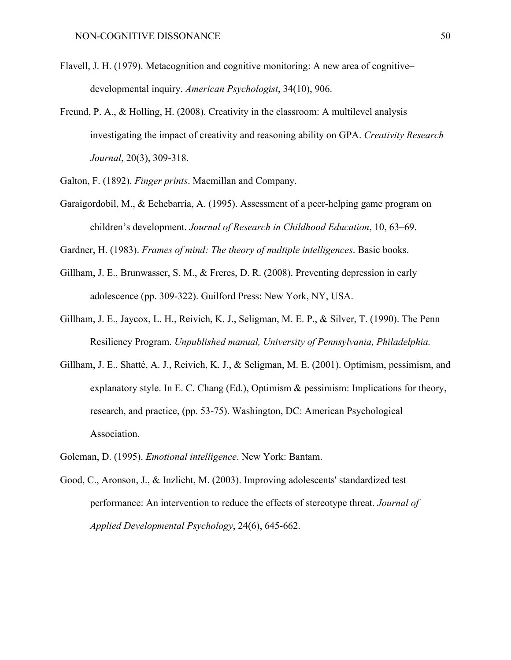- Flavell, J. H. (1979). Metacognition and cognitive monitoring: A new area of cognitive– developmental inquiry. *American Psychologist*, 34(10), 906.
- Freund, P. A., & Holling, H. (2008). Creativity in the classroom: A multilevel analysis investigating the impact of creativity and reasoning ability on GPA. *Creativity Research Journal*, 20(3), 309-318.
- Galton, F. (1892). *Finger prints*. Macmillan and Company.
- Garaigordobil, M., & Echebarría, A. (1995). Assessment of a peer-helping game program on children's development. *Journal of Research in Childhood Education*, 10, 63–69.
- Gardner, H. (1983). *Frames of mind: The theory of multiple intelligences*. Basic books.
- Gillham, J. E., Brunwasser, S. M., & Freres, D. R. (2008). Preventing depression in early adolescence (pp. 309-322). Guilford Press: New York, NY, USA.
- Gillham, J. E., Jaycox, L. H., Reivich, K. J., Seligman, M. E. P., & Silver, T. (1990). The Penn Resiliency Program. *Unpublished manual, University of Pennsylvania, Philadelphia.*
- Gillham, J. E., Shatté, A. J., Reivich, K. J., & Seligman, M. E. (2001). Optimism, pessimism, and explanatory style. In E. C. Chang (Ed.), Optimism  $\&$  pessimism: Implications for theory, research, and practice, (pp. 53-75). Washington, DC: American Psychological Association.
- Goleman, D. (1995). *Emotional intelligence*. New York: Bantam.
- Good, C., Aronson, J., & Inzlicht, M. (2003). Improving adolescents' standardized test performance: An intervention to reduce the effects of stereotype threat. *Journal of Applied Developmental Psychology*, 24(6), 645-662.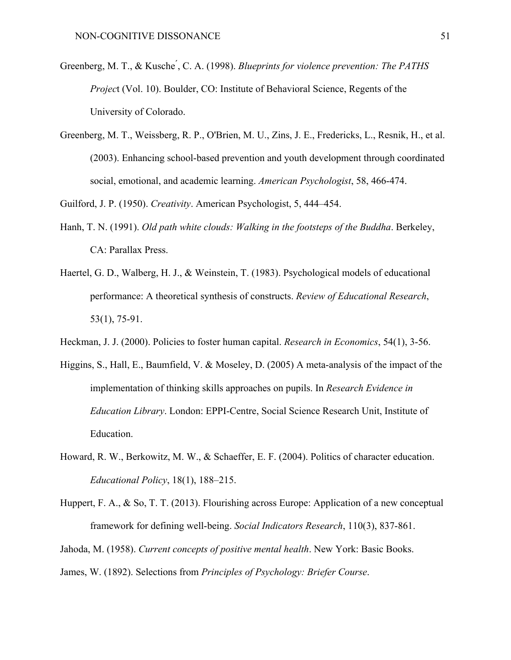- Greenberg, M. T., & Kusche<sup>'</sup>, C. A. (1998). *Blueprints for violence prevention: The PATHS Projec*t (Vol. 10). Boulder, CO: Institute of Behavioral Science, Regents of the University of Colorado.
- Greenberg, M. T., Weissberg, R. P., O'Brien, M. U., Zins, J. E., Fredericks, L., Resnik, H., et al. (2003). Enhancing school-based prevention and youth development through coordinated social, emotional, and academic learning. *American Psychologist*, 58, 466-474.

Guilford, J. P. (1950). *Creativity*. American Psychologist, 5, 444–454.

- Hanh, T. N. (1991). *Old path white clouds: Walking in the footsteps of the Buddha*. Berkeley, CA: Parallax Press.
- Haertel, G. D., Walberg, H. J., & Weinstein, T. (1983). Psychological models of educational performance: A theoretical synthesis of constructs. *Review of Educational Research*, 53(1), 75-91.
- Heckman, J. J. (2000). Policies to foster human capital. *Research in Economics*, 54(1), 3-56.
- Higgins, S., Hall, E., Baumfield, V. & Moseley, D. (2005) A meta-analysis of the impact of the implementation of thinking skills approaches on pupils. In *Research Evidence in Education Library*. London: EPPI-Centre, Social Science Research Unit, Institute of Education.
- Howard, R. W., Berkowitz, M. W., & Schaeffer, E. F. (2004). Politics of character education. *Educational Policy*, 18(1), 188–215.
- Huppert, F. A., & So, T. T. (2013). Flourishing across Europe: Application of a new conceptual framework for defining well-being. *Social Indicators Research*, 110(3), 837-861.

Jahoda, M. (1958). *Current concepts of positive mental health*. New York: Basic Books.

James, W. (1892). Selections from *Principles of Psychology: Briefer Course*.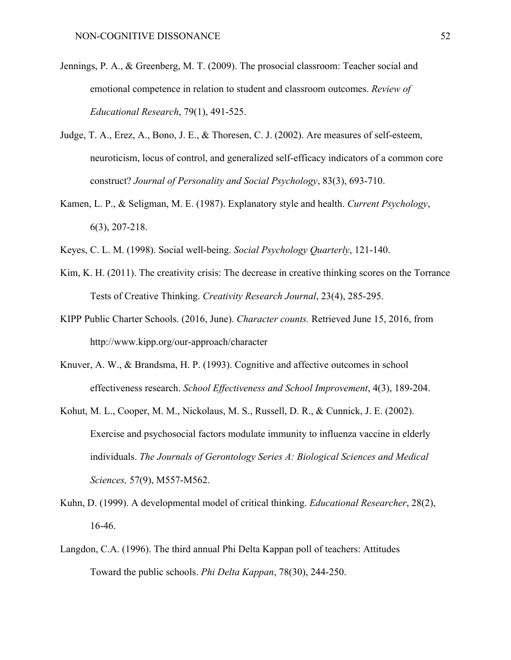- Jennings, P. A., & Greenberg, M. T. (2009). The prosocial classroom: Teacher social and emotional competence in relation to student and classroom outcomes. *Review of Educational Research*, 79(1), 491-525.
- Judge, T. A., Erez, A., Bono, J. E., & Thoresen, C. J. (2002). Are measures of self-esteem, neuroticism, locus of control, and generalized self-efficacy indicators of a common core construct? *Journal of Personality and Social Psychology*, 83(3), 693-710.
- Kamen, L. P., & Seligman, M. E. (1987). Explanatory style and health. *Current Psychology*, 6(3), 207-218.
- Keyes, C. L. M. (1998). Social well-being. *Social Psychology Quarterly*, 121-140.
- Kim, K. H. (2011). The creativity crisis: The decrease in creative thinking scores on the Torrance Tests of Creative Thinking. *Creativity Research Journal*, 23(4), 285-295.
- KIPP Public Charter Schools. (2016, June). *Character counts.* Retrieved June 15, 2016, from http://www.kipp.org/our-approach/character
- Knuver, A. W., & Brandsma, H. P. (1993). Cognitive and affective outcomes in school effectiveness research. *School Effectiveness and School Improvement*, 4(3), 189-204.
- Kohut, M. L., Cooper, M. M., Nickolaus, M. S., Russell, D. R., & Cunnick, J. E. (2002). Exercise and psychosocial factors modulate immunity to influenza vaccine in elderly individuals. *The Journals of Gerontology Series A: Biological Sciences and Medical Sciences,* 57(9), M557-M562.
- Kuhn, D. (1999). A developmental model of critical thinking. *Educational Researcher*, 28(2), 16-46.
- Langdon, C.A. (1996). The third annual Phi Delta Kappan poll of teachers: Attitudes Toward the public schools. *Phi Delta Kappan*, 78(30), 244-250.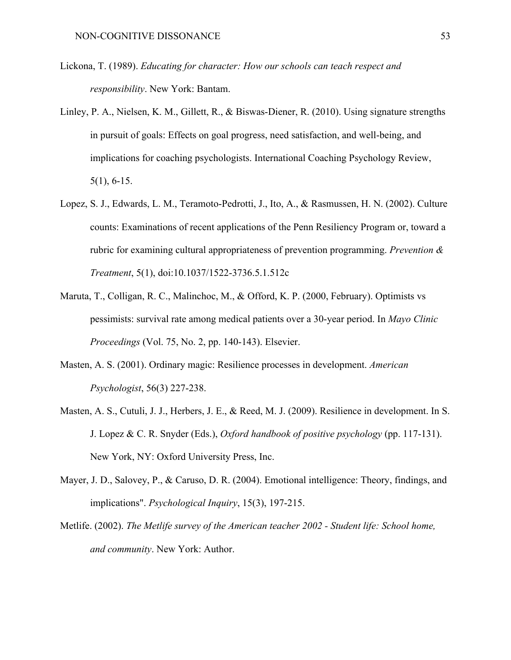- Lickona, T. (1989). *Educating for character: How our schools can teach respect and responsibility*. New York: Bantam.
- Linley, P. A., Nielsen, K. M., Gillett, R., & Biswas-Diener, R. (2010). Using signature strengths in pursuit of goals: Effects on goal progress, need satisfaction, and well-being, and implications for coaching psychologists. International Coaching Psychology Review, 5(1), 6-15.
- Lopez, S. J., Edwards, L. M., Teramoto-Pedrotti, J., Ito, A., & Rasmussen, H. N. (2002). Culture counts: Examinations of recent applications of the Penn Resiliency Program or, toward a rubric for examining cultural appropriateness of prevention programming. *Prevention & Treatment*, 5(1), doi:10.1037/1522-3736.5.1.512c
- Maruta, T., Colligan, R. C., Malinchoc, M., & Offord, K. P. (2000, February). Optimists vs pessimists: survival rate among medical patients over a 30-year period. In *Mayo Clinic Proceedings* (Vol. 75, No. 2, pp. 140-143). Elsevier.
- Masten, A. S. (2001). Ordinary magic: Resilience processes in development. *American Psychologist*, 56(3) 227-238.
- Masten, A. S., Cutuli, J. J., Herbers, J. E., & Reed, M. J. (2009). Resilience in development. In S. J. Lopez & C. R. Snyder (Eds.), *Oxford handbook of positive psychology* (pp. 117-131). New York, NY: Oxford University Press, Inc.
- Mayer, J. D., Salovey, P., & Caruso, D. R. (2004). Emotional intelligence: Theory, findings, and implications". *Psychological Inquiry*, 15(3), 197-215.
- Metlife. (2002). *The Metlife survey of the American teacher 2002 - Student life: School home, and community*. New York: Author.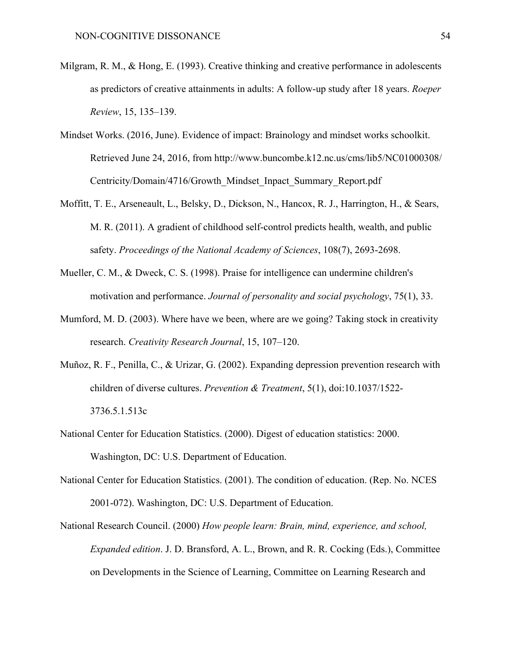- Milgram, R. M., & Hong, E. (1993). Creative thinking and creative performance in adolescents as predictors of creative attainments in adults: A follow-up study after 18 years. *Roeper Review*, 15, 135–139.
- Mindset Works. (2016, June). Evidence of impact: Brainology and mindset works schoolkit. Retrieved June 24, 2016, from http://www.buncombe.k12.nc.us/cms/lib5/NC01000308/ Centricity/Domain/4716/Growth\_Mindset\_Inpact\_Summary\_Report.pdf
- Moffitt, T. E., Arseneault, L., Belsky, D., Dickson, N., Hancox, R. J., Harrington, H., & Sears, M. R. (2011). A gradient of childhood self-control predicts health, wealth, and public safety. *Proceedings of the National Academy of Sciences*, 108(7), 2693-2698.
- Mueller, C. M., & Dweck, C. S. (1998). Praise for intelligence can undermine children's motivation and performance. *Journal of personality and social psychology*, 75(1), 33.
- Mumford, M. D. (2003). Where have we been, where are we going? Taking stock in creativity research. *Creativity Research Journal*, 15, 107–120.
- Muñoz, R. F., Penilla, C., & Urizar, G. (2002). Expanding depression prevention research with children of diverse cultures. *Prevention & Treatment*, 5(1), doi:10.1037/1522- 3736.5.1.513c
- National Center for Education Statistics. (2000). Digest of education statistics: 2000. Washington, DC: U.S. Department of Education.
- National Center for Education Statistics. (2001). The condition of education. (Rep. No. NCES 2001-072). Washington, DC: U.S. Department of Education.
- National Research Council. (2000) *How people learn: Brain, mind, experience, and school, Expanded edition*. J. D. Bransford, A. L., Brown, and R. R. Cocking (Eds.), Committee on Developments in the Science of Learning, Committee on Learning Research and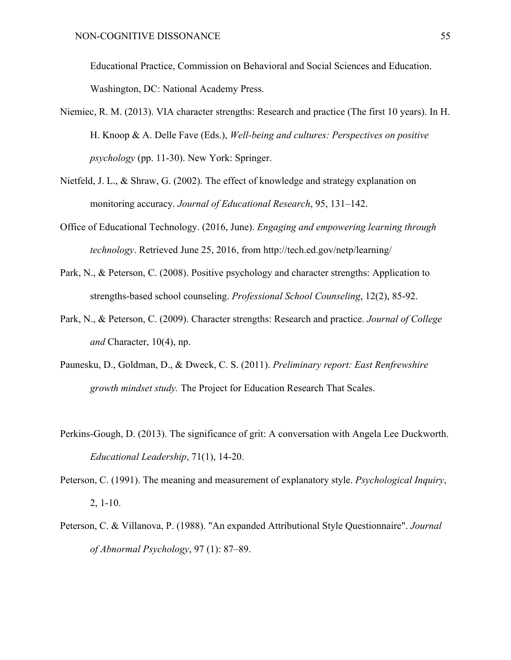Educational Practice, Commission on Behavioral and Social Sciences and Education. Washington, DC: National Academy Press.

- Niemiec, R. M. (2013). VIA character strengths: Research and practice (The first 10 years). In H. H. Knoop & A. Delle Fave (Eds.), *Well-being and cultures: Perspectives on positive psychology* (pp. 11-30). New York: Springer.
- Nietfeld, J. L., & Shraw, G. (2002). The effect of knowledge and strategy explanation on monitoring accuracy. *Journal of Educational Research*, 95, 131–142.
- Office of Educational Technology. (2016, June). *Engaging and empowering learning through technology*. Retrieved June 25, 2016, from http://tech.ed.gov/netp/learning/
- Park, N., & Peterson, C. (2008). Positive psychology and character strengths: Application to strengths-based school counseling. *Professional School Counseling*, 12(2), 85-92.
- Park, N., & Peterson, C. (2009). Character strengths: Research and practice. *Journal of College and* Character, 10(4), np.
- Paunesku, D., Goldman, D., & Dweck, C. S. (2011). *Preliminary report: East Renfrewshire growth mindset study.* The Project for Education Research That Scales.
- Perkins-Gough, D. (2013). The significance of grit: A conversation with Angela Lee Duckworth. *Educational Leadership*, 71(1), 14-20.
- Peterson, C. (1991). The meaning and measurement of explanatory style. *Psychological Inquiry*, 2, 1-10.
- Peterson, C. & Villanova, P. (1988). "An expanded Attributional Style Questionnaire". *Journal of Abnormal Psychology*, 97 (1): 87–89.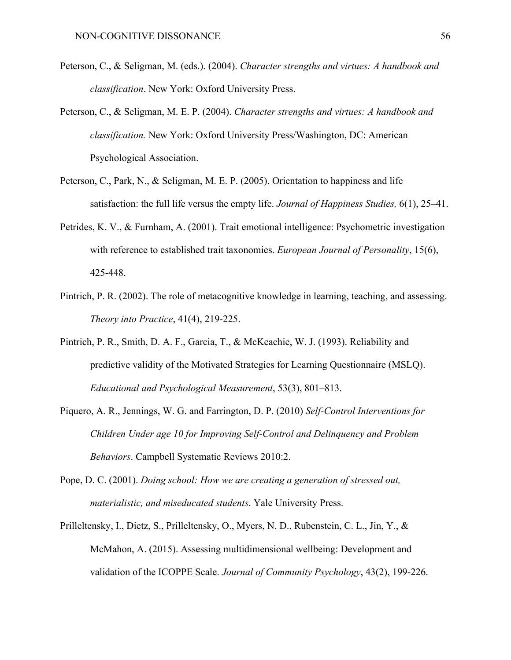- Peterson, C., & Seligman, M. (eds.). (2004). *Character strengths and virtues: A handbook and classification*. New York: Oxford University Press.
- Peterson, C., & Seligman, M. E. P. (2004). *Character strengths and virtues: A handbook and classification.* New York: Oxford University Press/Washington, DC: American Psychological Association.
- Peterson, C., Park, N., & Seligman, M. E. P. (2005). Orientation to happiness and life satisfaction: the full life versus the empty life. *Journal of Happiness Studies,* 6(1), 25–41.
- Petrides, K. V., & Furnham, A. (2001). Trait emotional intelligence: Psychometric investigation with reference to established trait taxonomies. *European Journal of Personality*, 15(6), 425-448.
- Pintrich, P. R. (2002). The role of metacognitive knowledge in learning, teaching, and assessing. *Theory into Practice*, 41(4), 219-225.
- Pintrich, P. R., Smith, D. A. F., Garcia, T., & McKeachie, W. J. (1993). Reliability and predictive validity of the Motivated Strategies for Learning Questionnaire (MSLQ). *Educational and Psychological Measurement*, 53(3), 801–813.
- Piquero, A. R., Jennings, W. G. and Farrington, D. P. (2010) *Self-Control Interventions for Children Under age 10 for Improving Self-Control and Delinquency and Problem Behaviors*. Campbell Systematic Reviews 2010:2.
- Pope, D. C. (2001). *Doing school: How we are creating a generation of stressed out, materialistic, and miseducated students*. Yale University Press.
- Prilleltensky, I., Dietz, S., Prilleltensky, O., Myers, N. D., Rubenstein, C. L., Jin, Y., & McMahon, A. (2015). Assessing multidimensional wellbeing: Development and validation of the ICOPPE Scale. *Journal of Community Psychology*, 43(2), 199-226.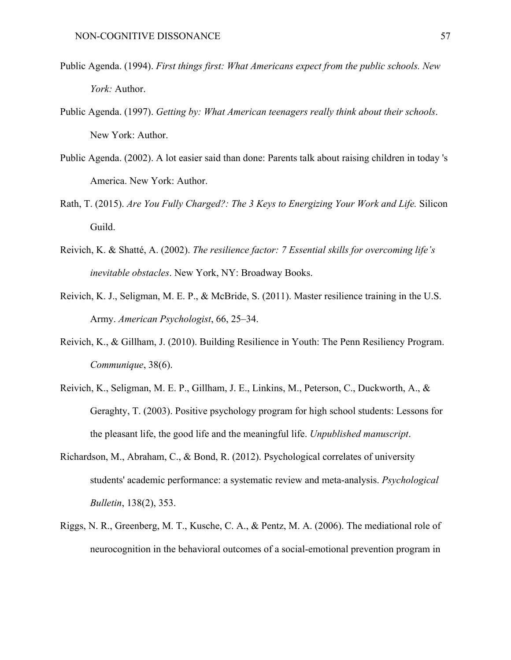- Public Agenda. (1994). *First things first: What Americans expect from the public schools. New York:* Author.
- Public Agenda. (1997). *Getting by: What American teenagers really think about their schools*. New York: Author.
- Public Agenda. (2002). A lot easier said than done: Parents talk about raising children in today 's America. New York: Author.
- Rath, T. (2015). *Are You Fully Charged?: The 3 Keys to Energizing Your Work and Life.* Silicon Guild.
- Reivich, K. & Shatté, A. (2002). *The resilience factor: 7 Essential skills for overcoming life's inevitable obstacles*. New York, NY: Broadway Books.
- Reivich, K. J., Seligman, M. E. P., & McBride, S. (2011). Master resilience training in the U.S. Army. *American Psychologist*, 66, 25–34.
- Reivich, K., & Gillham, J. (2010). Building Resilience in Youth: The Penn Resiliency Program. *Communique*, 38(6).
- Reivich, K., Seligman, M. E. P., Gillham, J. E., Linkins, M., Peterson, C., Duckworth, A., & Geraghty, T. (2003). Positive psychology program for high school students: Lessons for the pleasant life, the good life and the meaningful life. *Unpublished manuscript*.
- Richardson, M., Abraham, C., & Bond, R. (2012). Psychological correlates of university students' academic performance: a systematic review and meta-analysis. *Psychological Bulletin*, 138(2), 353.
- Riggs, N. R., Greenberg, M. T., Kusche, C. A., & Pentz, M. A. (2006). The mediational role of neurocognition in the behavioral outcomes of a social-emotional prevention program in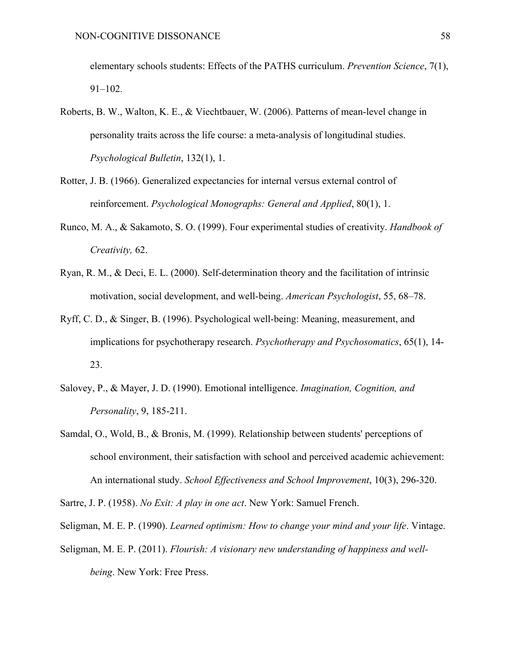elementary schools students: Effects of the PATHS curriculum. *Prevention Science*, 7(1), 91–102.

- Roberts, B. W., Walton, K. E., & Viechtbauer, W. (2006). Patterns of mean-level change in personality traits across the life course: a meta-analysis of longitudinal studies. *Psychological Bulletin*, 132(1), 1.
- Rotter, J. B. (1966). Generalized expectancies for internal versus external control of reinforcement. *Psychological Monographs: General and Applied*, 80(1), 1.
- Runco, M. A., & Sakamoto, S. O. (1999). Four experimental studies of creativity. *Handbook of Creativity,* 62.
- Ryan, R. M., & Deci, E. L. (2000). Self-determination theory and the facilitation of intrinsic motivation, social development, and well-being. *American Psychologist*, 55, 68–78.
- Ryff, C. D., & Singer, B. (1996). Psychological well-being: Meaning, measurement, and implications for psychotherapy research. *Psychotherapy and Psychosomatics*, 65(1), 14- 23.
- Salovey, P., & Mayer, J. D. (1990). Emotional intelligence. *Imagination, Cognition, and Personality*, 9, 185-211.
- Samdal, O., Wold, B., & Bronis, M. (1999). Relationship between students' perceptions of school environment, their satisfaction with school and perceived academic achievement: An international study. *School Effectiveness and School Improvement*, 10(3), 296-320.
- Sartre, J. P. (1958). *No Exit: A play in one act*. New York: Samuel French.
- Seligman, M. E. P. (1990). *Learned optimism: How to change your mind and your life*. Vintage.
- Seligman, M. E. P. (2011). *Flourish: A visionary new understanding of happiness and wellbeing*. New York: Free Press.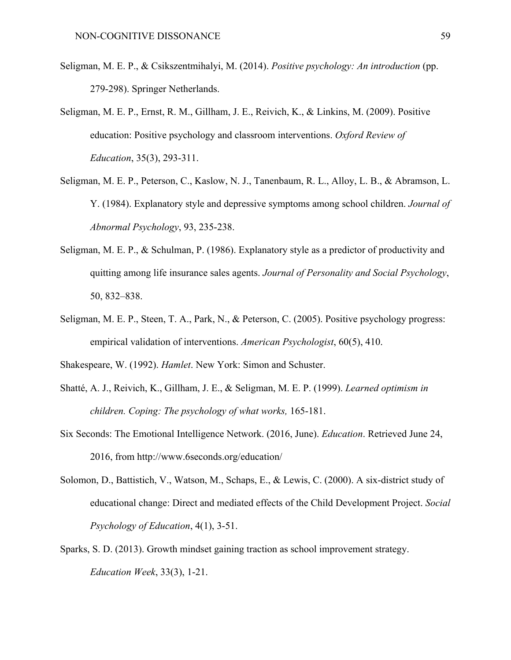- Seligman, M. E. P., & Csikszentmihalyi, M. (2014). *Positive psychology: An introduction* (pp. 279-298). Springer Netherlands.
- Seligman, M. E. P., Ernst, R. M., Gillham, J. E., Reivich, K., & Linkins, M. (2009). Positive education: Positive psychology and classroom interventions. *Oxford Review of Education*, 35(3), 293-311.
- Seligman, M. E. P., Peterson, C., Kaslow, N. J., Tanenbaum, R. L., Alloy, L. B., & Abramson, L. Y. (1984). Explanatory style and depressive symptoms among school children. *Journal of Abnormal Psychology*, 93, 235-238.
- Seligman, M. E. P., & Schulman, P. (1986). Explanatory style as a predictor of productivity and quitting among life insurance sales agents. *Journal of Personality and Social Psychology*, 50, 832–838.
- Seligman, M. E. P., Steen, T. A., Park, N., & Peterson, C. (2005). Positive psychology progress: empirical validation of interventions. *American Psychologist*, 60(5), 410.
- Shakespeare, W. (1992). *Hamlet*. New York: Simon and Schuster.
- Shatté, A. J., Reivich, K., Gillham, J. E., & Seligman, M. E. P. (1999). *Learned optimism in children. Coping: The psychology of what works,* 165-181.
- Six Seconds: The Emotional Intelligence Network. (2016, June). *Education*. Retrieved June 24, 2016, from http://www.6seconds.org/education/
- Solomon, D., Battistich, V., Watson, M., Schaps, E., & Lewis, C. (2000). A six-district study of educational change: Direct and mediated effects of the Child Development Project. *Social Psychology of Education*, 4(1), 3-51.
- Sparks, S. D. (2013). Growth mindset gaining traction as school improvement strategy. *Education Week*, 33(3), 1-21.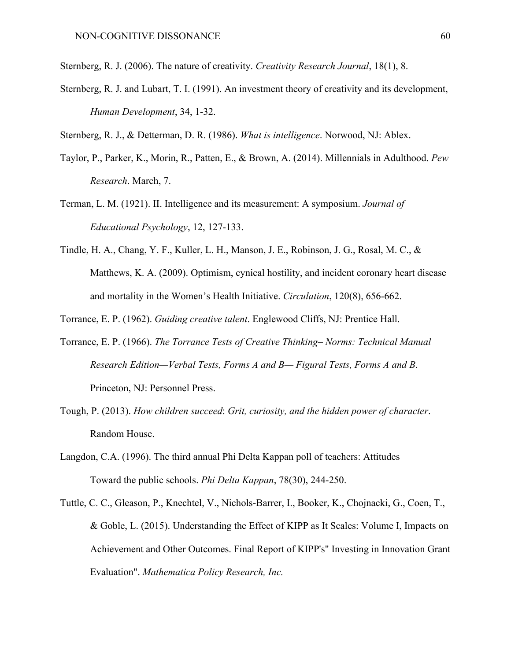- Sternberg, R. J. (2006). The nature of creativity. *Creativity Research Journal*, 18(1), 8.
- Sternberg, R. J. and Lubart, T. I. (1991). An investment theory of creativity and its development, *Human Development*, 34, 1-32.
- Sternberg, R. J., & Detterman, D. R. (1986). *What is intelligence*. Norwood, NJ: Ablex.
- Taylor, P., Parker, K., Morin, R., Patten, E., & Brown, A. (2014). Millennials in Adulthood. *Pew Research*. March, 7.
- Terman, L. M. (1921). II. Intelligence and its measurement: A symposium. *Journal of Educational Psychology*, 12, 127-133.
- Tindle, H. A., Chang, Y. F., Kuller, L. H., Manson, J. E., Robinson, J. G., Rosal, M. C., & Matthews, K. A. (2009). Optimism, cynical hostility, and incident coronary heart disease and mortality in the Women's Health Initiative. *Circulation*, 120(8), 656-662.
- Torrance, E. P. (1962). *Guiding creative talent*. Englewood Cliffs, NJ: Prentice Hall.
- Torrance, E. P. (1966). *The Torrance Tests of Creative Thinking– Norms: Technical Manual Research Edition—Verbal Tests, Forms A and B— Figural Tests, Forms A and B*. Princeton, NJ: Personnel Press.
- Tough, P. (2013). *How children succeed*: *Grit, curiosity, and the hidden power of character*. Random House.
- Langdon, C.A. (1996). The third annual Phi Delta Kappan poll of teachers: Attitudes Toward the public schools. *Phi Delta Kappan*, 78(30), 244-250.
- Tuttle, C. C., Gleason, P., Knechtel, V., Nichols-Barrer, I., Booker, K., Chojnacki, G., Coen, T., & Goble, L. (2015). Understanding the Effect of KIPP as It Scales: Volume I, Impacts on Achievement and Other Outcomes. Final Report of KIPP's" Investing in Innovation Grant Evaluation". *Mathematica Policy Research, Inc.*